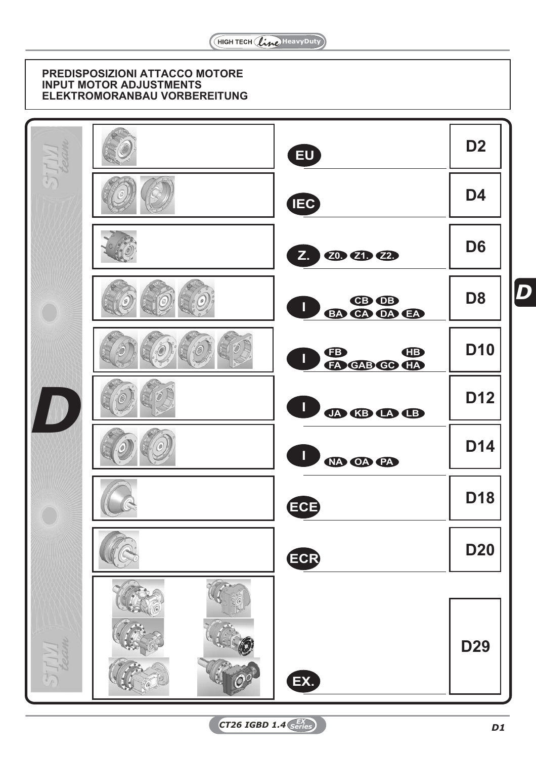# **PREDISPOSIZIONI ATTACCO MOTORE INPUT MOTOR ADJUSTMENTS ELEKTROMORANBAU VORBEREITUNG**

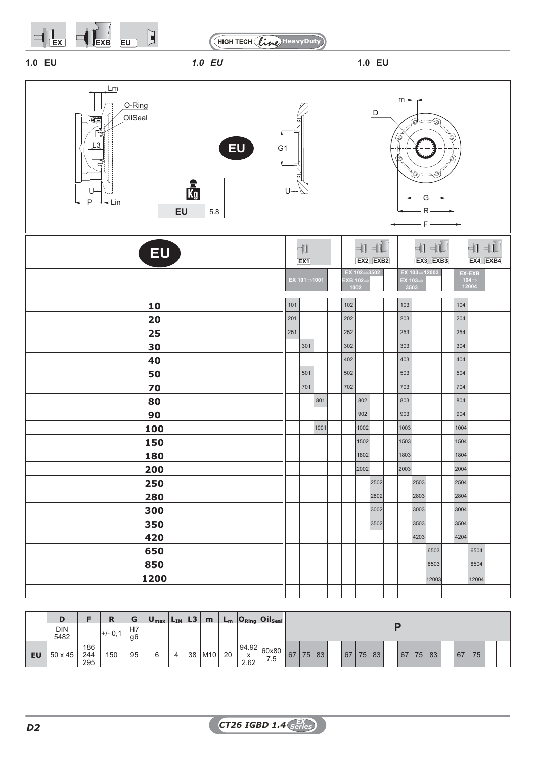



**1.0 EU** *1.0 EU* **1.0 EU**

| Lm<br>O-Ring<br>OilSeal<br>$\quad \  \  \, \blacksquare$<br>EU<br>.3<br>G <sub>1</sub><br>$\frac{2}{Kg}$<br>U<br>$P -$<br>⊥ Lin<br>EU<br>5.8 | U   |                           |      |                    |                           | D              | $m \cdot$<br>۵<br>٥ | O<br>F | O.<br>O<br>R    | Q<br>Ø |       |                                                                                     |  |
|----------------------------------------------------------------------------------------------------------------------------------------------|-----|---------------------------|------|--------------------|---------------------------|----------------|---------------------|--------|-----------------|--------|-------|-------------------------------------------------------------------------------------|--|
| <b>EU</b>                                                                                                                                    |     | -‡1<br>EX1                |      |                    |                           | ┪┪<br>EX2 EXB2 |                     |        | ┪┪┪<br>EX3 EXB3 |        |       | $\Pi$ $\Pi$<br>EX4 EXB4                                                             |  |
|                                                                                                                                              |     | EX $101 \Rightarrow 1001$ |      | $EXB$ 102=<br>1002 | EX 102 $\Rightarrow$ 3502 |                | EX 103=<br>3503     |        | EX 103⇒12003    |        |       | EX-EXB<br>$\begin{array}{c} \textbf{104} \Rightarrow \\ \textbf{12004} \end{array}$ |  |
| 10                                                                                                                                           | 101 |                           |      | $102$              |                           |                | 103                 |        |                 |        | $104$ |                                                                                     |  |
| 20                                                                                                                                           | 201 |                           |      | 202                |                           |                | 203                 |        |                 |        | 204   |                                                                                     |  |
| 25                                                                                                                                           | 251 |                           |      | 252                |                           |                | 253                 |        |                 |        | 254   |                                                                                     |  |
| 30                                                                                                                                           |     | 301                       |      | 302                |                           |                | 303                 |        |                 |        | 304   |                                                                                     |  |
| 40                                                                                                                                           |     |                           |      | 402                |                           |                | 403                 |        |                 |        | 404   |                                                                                     |  |
| 50                                                                                                                                           |     | 501                       |      | 502                |                           |                | 503                 |        |                 |        | 504   |                                                                                     |  |
| 70                                                                                                                                           |     | 701                       |      | 702                |                           |                | 703                 |        |                 |        | 704   |                                                                                     |  |
| 80                                                                                                                                           |     |                           | 801  |                    | 802                       |                | 803                 |        |                 |        | 804   |                                                                                     |  |
| 90                                                                                                                                           |     |                           |      |                    | 902                       |                | 903                 |        |                 |        | 904   |                                                                                     |  |
| 100                                                                                                                                          |     |                           | 1001 |                    | 1002                      |                | 1003                |        |                 |        | 1004  |                                                                                     |  |
| 150                                                                                                                                          |     |                           |      |                    | 1502                      |                | 1503                |        |                 |        | 1504  |                                                                                     |  |
| 180                                                                                                                                          |     |                           |      |                    | 1802                      |                | 1803                |        |                 |        | 1804  |                                                                                     |  |
| 200                                                                                                                                          |     |                           |      |                    | 2002                      |                | 2003                |        |                 |        | 2004  |                                                                                     |  |
| 250                                                                                                                                          |     |                           |      |                    |                           | 2502           |                     | 2503   |                 |        | 2504  |                                                                                     |  |
| 280                                                                                                                                          |     |                           |      |                    |                           | 2802           |                     | 2803   |                 |        | 2804  |                                                                                     |  |
| 300                                                                                                                                          |     |                           |      |                    |                           | 3002           |                     | 3003   |                 |        | 3004  |                                                                                     |  |
| 350                                                                                                                                          |     |                           |      |                    |                           | 3502           |                     | 3503   |                 |        | 3504  |                                                                                     |  |
| 420                                                                                                                                          |     |                           |      |                    |                           |                |                     | 4203   |                 |        | 4204  |                                                                                     |  |
| 650                                                                                                                                          |     |                           |      |                    |                           |                |                     |        | 6503<br>8503    |        |       | 6504<br>8504                                                                        |  |
| 850                                                                                                                                          |     |                           |      |                    |                           |                |                     |        |                 |        |       |                                                                                     |  |
| 1200                                                                                                                                         |     |                           |      |                    |                           |                |                     |        | 12003           |        |       | 12004                                                                               |  |
|                                                                                                                                              |     |                           |      |                    |                           |                |                     |        |                 |        |       |                                                                                     |  |

|           | D                  |                   | n        | G        | $U_{\text{max}}$ $L_{\text{IN}}$ |   | L3 | m                | $L_m$ |                    | $O_{Ring}$ $Oil_{Seal}$        |    |    |    |       |    |    |    |    |    |  |
|-----------|--------------------|-------------------|----------|----------|----------------------------------|---|----|------------------|-------|--------------------|--------------------------------|----|----|----|-------|----|----|----|----|----|--|
|           | <b>DIN</b><br>5482 |                   | l+/- 0.1 | H7<br>g6 |                                  |   |    |                  |       |                    |                                |    |    |    |       |    |    |    |    |    |  |
| <b>EU</b> | 50 x 45            | 186<br>244<br>295 | 150      | 95       | 6                                | 4 | 38 | M10 <sub>1</sub> | 20    | 94.92<br>Х<br>2.62 | $\frac{ 60x80 }{75}$ 67<br>7.5 | 75 | 83 | 67 | 75 83 | 67 | 75 | 83 | 67 | 75 |  |

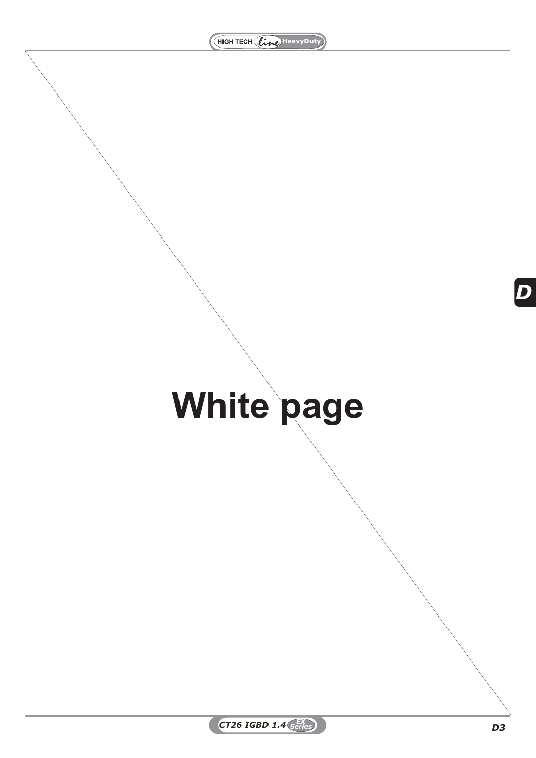# **White page**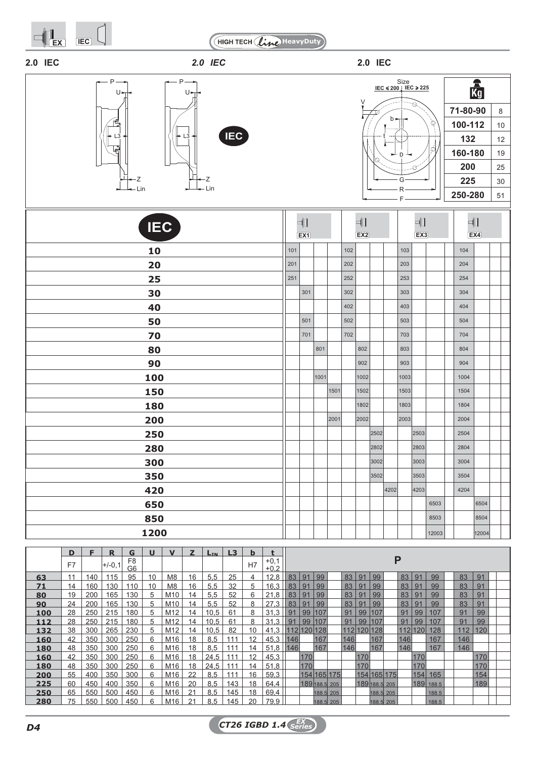







| $- - - -$  |     |                                |      |      |     |          |      | $\overline{\phantom{0}}$ F – | $\overline{\phantom{a}}$ $\overline{\phantom{a}}$ $\overline{\phantom{a}}$ $\overline{\phantom{a}}$ $\overline{\phantom{a}}$ $\overline{\phantom{a}}$ $\overline{\phantom{a}}$ $\overline{\phantom{a}}$ $\overline{\phantom{a}}$ $\overline{\phantom{a}}$ $\overline{\phantom{a}}$ $\overline{\phantom{a}}$ $\overline{\phantom{a}}$ $\overline{\phantom{a}}$ $\overline{\phantom{a}}$ $\overline{\phantom{a}}$ $\overline{\phantom{a}}$ $\overline{\phantom{a}}$ $\overline{\$ |                                |       | 250-280  |       | 51 |  |
|------------|-----|--------------------------------|------|------|-----|----------|------|------------------------------|---------------------------------------------------------------------------------------------------------------------------------------------------------------------------------------------------------------------------------------------------------------------------------------------------------------------------------------------------------------------------------------------------------------------------------------------------------------------------------|--------------------------------|-------|----------|-------|----|--|
| <b>IEC</b> |     | $\overline{\mathbb{C}}$<br>EX1 |      |      |     | 中<br>EX2 |      |                              |                                                                                                                                                                                                                                                                                                                                                                                                                                                                                 | $\overline{\mathbb{F}}$<br>EX3 |       | 中<br>EX4 |       |    |  |
| 10         | 101 |                                |      |      | 102 |          |      |                              | 103                                                                                                                                                                                                                                                                                                                                                                                                                                                                             |                                |       | 104      |       |    |  |
| 20         | 201 |                                |      |      | 202 |          |      |                              | 203                                                                                                                                                                                                                                                                                                                                                                                                                                                                             |                                |       | 204      |       |    |  |
| 25         | 251 |                                |      |      | 252 |          |      |                              | 253                                                                                                                                                                                                                                                                                                                                                                                                                                                                             |                                |       | 254      |       |    |  |
| 30         |     | 301                            |      |      | 302 |          |      |                              | 303                                                                                                                                                                                                                                                                                                                                                                                                                                                                             |                                |       | 304      |       |    |  |
| 40         |     |                                |      |      | 402 |          |      |                              | 403                                                                                                                                                                                                                                                                                                                                                                                                                                                                             |                                |       | 404      |       |    |  |
| 50         |     | 501                            |      |      | 502 |          |      |                              | 503                                                                                                                                                                                                                                                                                                                                                                                                                                                                             |                                |       | 504      |       |    |  |
| 70         |     | 701                            |      |      | 702 |          |      |                              | 703                                                                                                                                                                                                                                                                                                                                                                                                                                                                             |                                |       | 704      |       |    |  |
| 80         |     |                                | 801  |      |     | 802      |      |                              | 803                                                                                                                                                                                                                                                                                                                                                                                                                                                                             |                                |       | 804      |       |    |  |
| 90         |     |                                |      |      |     | 902      |      |                              | 903                                                                                                                                                                                                                                                                                                                                                                                                                                                                             |                                |       | 904      |       |    |  |
| 100        |     |                                | 1001 |      |     | 1002     |      |                              | 1003                                                                                                                                                                                                                                                                                                                                                                                                                                                                            |                                |       | 1004     |       |    |  |
| 150        |     |                                |      | 1501 |     | 1502     |      |                              | 1503                                                                                                                                                                                                                                                                                                                                                                                                                                                                            |                                |       | 1504     |       |    |  |
| 180        |     |                                |      |      |     | 1802     |      |                              | 1803                                                                                                                                                                                                                                                                                                                                                                                                                                                                            |                                |       | 1804     |       |    |  |
| 200        |     |                                |      | 2001 |     | 2002     |      |                              | 2003                                                                                                                                                                                                                                                                                                                                                                                                                                                                            |                                |       | 2004     |       |    |  |
| 250        |     |                                |      |      |     |          | 2502 |                              |                                                                                                                                                                                                                                                                                                                                                                                                                                                                                 | 2503                           |       | 2504     |       |    |  |
| 280        |     |                                |      |      |     |          | 2802 |                              |                                                                                                                                                                                                                                                                                                                                                                                                                                                                                 | 2803                           |       | 2804     |       |    |  |
| 300        |     |                                |      |      |     |          | 3002 |                              |                                                                                                                                                                                                                                                                                                                                                                                                                                                                                 | 3003                           |       | 3004     |       |    |  |
| 350        |     |                                |      |      |     |          | 3502 |                              |                                                                                                                                                                                                                                                                                                                                                                                                                                                                                 | 3503                           |       | 3504     |       |    |  |
| 420        |     |                                |      |      |     |          |      | 4202                         |                                                                                                                                                                                                                                                                                                                                                                                                                                                                                 | 4203                           |       | 4204     |       |    |  |
| 650        |     |                                |      |      |     |          |      |                              |                                                                                                                                                                                                                                                                                                                                                                                                                                                                                 |                                | 6503  |          | 6504  |    |  |
| 850        |     |                                |      |      |     |          |      |                              |                                                                                                                                                                                                                                                                                                                                                                                                                                                                                 |                                | 8503  |          | 8504  |    |  |
| 1200       |     |                                |      |      |     |          |      |                              |                                                                                                                                                                                                                                                                                                                                                                                                                                                                                 |                                | 12003 |          | 12004 |    |  |

|     | D. | F.  | R        | G                    | ш  | $\mathbf{v}$    | $\overline{\phantom{a}}$ | TN.  | L3  | h  |                  |             |     |               |  |     |               |           |             |         |     |           |  |     |     |  |
|-----|----|-----|----------|----------------------|----|-----------------|--------------------------|------|-----|----|------------------|-------------|-----|---------------|--|-----|---------------|-----------|-------------|---------|-----|-----------|--|-----|-----|--|
|     | F7 |     | $+/-0.1$ | F <sub>8</sub><br>G6 |    |                 |                          |      |     | H7 | $+0,1$<br>$+0.2$ |             |     |               |  |     |               |           | Ρ           |         |     |           |  |     |     |  |
| 63  | 11 | 140 | 115      | 95                   | 10 | M <sub>8</sub>  | 16                       | 5,5  | 25  | 4  | 12.8             | 83          | 91  | 99            |  | 83  | 91            | 99        |             | 83      | 91  | 99        |  | 83  | 91  |  |
| 71  | 14 | 160 | 130      | 110                  | 10 | M <sub>8</sub>  | 16                       | 5,5  | 32  | 5  | 16.3             | 83          | 91  | 99            |  | 83  | 91            | 99        |             | 83      | 91  | 99        |  | 83  | 91  |  |
| 80  | 19 | 200 | 165      | 130                  | 5  | M <sub>10</sub> | 14                       | 5.5  | 52  | 6  | 21.8             | 83          | 91  | 99            |  | 83  | 91            | 99        |             | 83      | 91  | 99        |  | 83  | 91  |  |
| 90  | 24 | 200 | 165      | 130                  | 5  | M <sub>10</sub> | 14                       | 5.5  | 52  | 8  | 27.3             | 83          | 91  | 99            |  | 83  | 91            | 99        |             | 83      | 91  | 99        |  | 83  | 91  |  |
| 100 | 28 | 250 | 215      | 180                  | 5  | M <sub>12</sub> | 14                       | 10.5 | 61  | 8  | 31.3             | $\vert$ 91  | 99  | 107           |  | 91  | 99            | 107       |             | 91      | 99  | 107       |  | 91  | 99  |  |
| 112 | 28 | 250 | 215      | 180                  | 5  | M <sub>12</sub> | 14                       | 10.5 | 61  | 8  | 31.3             | 91          | 99  | 107           |  | 91  | 99   107      |           |             | 91      | 99  | 107       |  | 91  | 99  |  |
| 132 | 38 | 300 | 265      | 230                  | 5  | M <sub>12</sub> | 14                       | 10.5 | 82  | 10 | 41.3             | 112 120 128 |     |               |  |     | 112 120 128   |           |             | 112 120 |     | 128       |  | 112 | 120 |  |
| 160 | 42 | 350 | 300      | 250                  | 6  | M16             | 18                       | 8.5  | 111 | 12 | 45.3             | 146         |     | 167           |  | 146 |               | 167       |             | 146     |     | 167       |  | 146 |     |  |
| 180 | 48 | 350 | 300      | 250                  | 6  | M16             | 18                       | 8.5  | 111 | 14 | 51.8             | 146         |     | 167           |  | 146 |               | 167       |             | 146     |     | 167       |  | 146 |     |  |
| 160 | 42 | 350 | 300      | 250                  | 6  | M16             | 18                       | 24.5 | 111 | 12 | 45.3             |             | 170 |               |  |     | 170           |           |             |         | 170 |           |  |     | 170 |  |
| 180 | 48 | 350 | 300      | 250                  | 6  | M16             | 18                       | 24.5 | 111 | 14 | 51.8             |             | 170 |               |  |     | 170           |           |             |         | 170 |           |  |     | 170 |  |
| 200 | 55 | 400 | 350      | 300                  | 6  | M16             | 22                       | 8.5  | 111 | 16 | 59,3             |             |     | 154 165 175   |  |     |               |           | 154 165 175 |         | 154 | 165       |  |     | 154 |  |
| 225 | 60 | 450 | 400      | 350                  | 6  | M16             | 20                       | 8.5  | 143 | 18 | 64.4             |             |     | 189 188.5 205 |  |     | 189 188.5 205 |           |             |         |     | 189 188.5 |  |     | 189 |  |
| 250 | 65 | 550 | 500      | 450                  | 6  | M16             | 21                       | 8.5  | 145 | 18 | 69,4             |             |     | 188.5 205     |  |     |               | 188.5 205 |             |         |     | 188.5     |  |     |     |  |
| 280 | 75 | 550 | 500      | 450                  | 6  | M16             | 21                       | 8.5  | 145 | 20 | 79.9             |             |     | 188.5 205     |  |     |               | 188.5 205 |             |         |     | 188.5     |  |     |     |  |
|     |    |     |          |                      |    |                 |                          |      |     |    |                  |             |     |               |  |     |               |           |             |         |     |           |  |     |     |  |

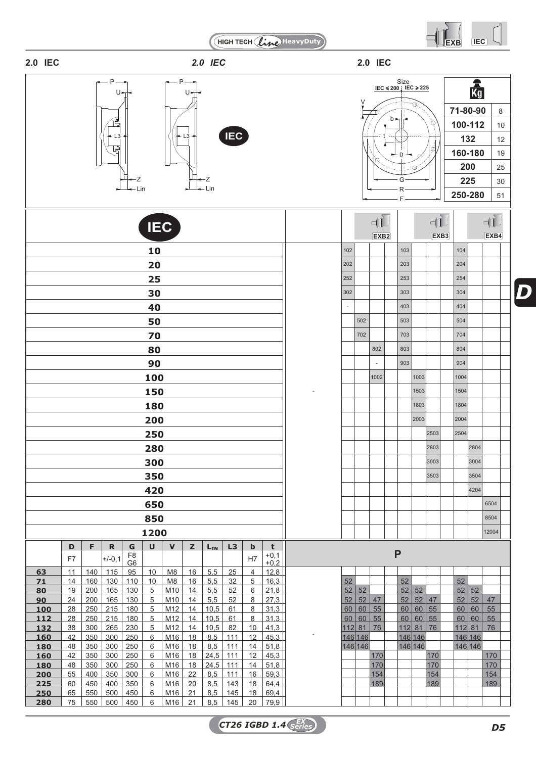HIGH TECH (line) HeavyDuty



| 2.0 IEC | 2.0 IEC | <b>2.0 IEC</b> |  |
|---------|---------|----------------|--|

| $U \rightarrow$     |            | <b>IEC</b>                                 |
|---------------------|------------|--------------------------------------------|
| $\mathsf{L}_3$<br>Z | <b>IEC</b> | ν<br><b>MANUFACTURE</b><br>$\mathcal{Q}^1$ |
| $\cdot$ $\cdot$     |            |                                            |

Z

P P P P P P P P P P

 $\overline{\phantom{0}}$ 

P



|                        |          |            |                   |                                  | <b>IEC</b>      |                       |          |                  |                   |                |                                                          |          |              | $\mathbb{E}$<br>EXB <sub>2</sub> |   |          |              | $-d$<br>EXB <sub>3</sub> |          |              | $\n  d$<br>EXB4 |  |
|------------------------|----------|------------|-------------------|----------------------------------|-----------------|-----------------------|----------|------------------|-------------------|----------------|----------------------------------------------------------|----------|--------------|----------------------------------|---|----------|--------------|--------------------------|----------|--------------|-----------------|--|
|                        |          |            |                   |                                  | 10              |                       |          |                  |                   |                |                                                          | 102      |              |                                  |   | 103      |              |                          | 104      |              |                 |  |
|                        |          |            |                   |                                  | 20              |                       |          |                  |                   |                |                                                          | 202      |              |                                  |   | 203      |              |                          | 204      |              |                 |  |
|                        |          |            |                   |                                  | 25              |                       |          |                  |                   |                |                                                          | 252      |              |                                  |   | 253      |              |                          | 254      |              |                 |  |
|                        |          |            |                   |                                  | 30              |                       |          |                  |                   |                |                                                          | 302      |              |                                  |   | 303      |              |                          | 304      |              |                 |  |
|                        |          |            |                   |                                  | 40              |                       |          |                  |                   |                |                                                          |          |              |                                  |   | 403      |              |                          | 404      |              |                 |  |
|                        |          |            |                   |                                  |                 |                       |          |                  |                   |                |                                                          |          | 502          |                                  |   | 503      |              |                          | 504      |              |                 |  |
|                        |          |            |                   |                                  | 50              |                       |          |                  |                   |                |                                                          |          |              |                                  |   |          |              |                          |          |              |                 |  |
|                        |          |            |                   |                                  | 70              |                       |          |                  |                   |                |                                                          |          | 702          |                                  |   | 703      |              |                          | 704      |              |                 |  |
|                        |          |            |                   |                                  | 80              |                       |          |                  |                   |                |                                                          |          |              | 802                              |   | 803      |              |                          | 804      |              |                 |  |
|                        |          |            |                   |                                  | 90              |                       |          |                  |                   |                |                                                          |          |              |                                  |   | 903      |              |                          | 904      |              |                 |  |
|                        |          |            |                   |                                  | 100             |                       |          |                  |                   |                |                                                          |          |              | 1002                             |   |          | 1003         |                          | 1004     |              |                 |  |
|                        |          |            |                   |                                  | 150             |                       |          |                  |                   |                |                                                          |          |              |                                  |   |          | 1503         |                          | 1504     |              |                 |  |
|                        |          |            |                   |                                  | 180             |                       |          |                  |                   |                |                                                          |          |              |                                  |   |          | 1803         |                          | 1804     |              |                 |  |
|                        |          |            |                   |                                  | 200             |                       |          |                  |                   |                |                                                          |          |              |                                  |   |          | 2003         |                          | 2004     |              |                 |  |
|                        |          |            |                   |                                  | 250             |                       |          |                  |                   |                |                                                          |          |              |                                  |   |          |              | 2503                     | 2504     |              |                 |  |
|                        |          |            |                   |                                  | 280             |                       |          |                  |                   |                |                                                          |          |              |                                  |   |          |              | 2803                     |          | 2804         |                 |  |
|                        |          |            |                   |                                  | 300             |                       |          |                  |                   |                |                                                          |          |              |                                  |   |          |              | 3003                     |          | 3004         |                 |  |
|                        |          |            |                   |                                  | 350             |                       |          |                  |                   |                |                                                          |          |              |                                  |   |          |              | 3503                     |          | 3504         |                 |  |
|                        |          |            |                   |                                  |                 |                       |          |                  |                   |                |                                                          |          |              |                                  |   |          |              |                          |          | 4204         |                 |  |
|                        |          |            |                   |                                  | 420             |                       |          |                  |                   |                |                                                          |          |              |                                  |   |          |              |                          |          |              |                 |  |
|                        |          |            |                   |                                  | 650             |                       |          |                  |                   |                |                                                          |          |              |                                  |   |          |              |                          |          |              | 6504            |  |
|                        |          |            |                   |                                  | 850             |                       |          |                  |                   |                |                                                          |          |              |                                  |   |          |              |                          |          |              | 8504            |  |
|                        |          |            |                   |                                  | 1200            |                       |          |                  |                   |                |                                                          |          |              |                                  |   |          |              |                          |          |              | 12004           |  |
|                        | D        | F          | $\mathbf R$       | G                                | $\mathbf{U}$    | $\mathbf{V}$          | z        | LIN              | L3                | $\mathbf b$    | t<br>$+0,1$                                              |          |              |                                  | P |          |              |                          |          |              |                 |  |
|                        | F7       |            | $+/-0,1$          | F <sub>8</sub><br>G <sub>6</sub> |                 |                       |          |                  |                   | H <sub>7</sub> | $+0,2$                                                   |          |              |                                  |   |          |              |                          |          |              |                 |  |
| 63                     | 11       | 140        | 115               | 95                               | 10              | M8                    | 16       | 5,5              | 25                | 4              | 12,8                                                     |          |              |                                  |   |          |              |                          |          |              |                 |  |
| <u>71</u><br><u>80</u> | 14<br>19 | 160<br>200 | 130<br>165        | 110<br>130                       | 10<br>5         | M <sub>8</sub><br>M10 | 16<br>14 | 5,5<br>5,5       | 32<br>52          | 5<br>6         | 16,3<br>21,8                                             | 52<br>52 | 52           |                                  |   | 52<br>52 | 52           |                          | 52<br>52 | 52           |                 |  |
| <u>90</u>              | 24       | 200        | 165               | 130                              | 5               | M10                   | 14       | 5,5              | 52                | 8              | 27,3                                                     | 52       | 52           | 47                               |   | 52       | 52           | 47                       | 52       | 52           | 47              |  |
| <u> 100</u>            | 28       |            |                   | 250   215   180                  | 5               | M12                   |          | $14$   10,5   61 |                   | 8              | 31,3                                                     |          |              | 60   60   55                     |   |          |              | 60   60   55             |          | 60   60   55 |                 |  |
| <u> 112 </u>           | 28       |            | $250$   215   180 |                                  | 5               | M12                   |          | $14$   10,5      | 61                | 8              | 31,3                                                     |          | 60   60   55 |                                  |   |          | 60   60   55 |                          |          | 60   60   55 |                 |  |
| <u> 132 </u>           | 38       |            | $300$ 265         | 230                              | 5 <sup>5</sup>  | M12                   | 14       | $10,5$ 82        |                   | 10             | 41,3                                                     |          | $112$ 81 76  |                                  |   |          | $112$ 81 76  |                          |          | $112$ 81 76  |                 |  |
| <u> 160</u>            | 42       |            | $350$ 300         | 250                              | $6\overline{6}$ | M16                   | 18       |                  | $8,5$ 111         | 12             | 45,3                                                     |          | 146 146      |                                  |   |          | 146 146      |                          |          | 146 146      |                 |  |
| <u>180</u>             | 48       |            | $350$ 300         | 250                              | 6               | M16                   | 18       | $8,5$ 111        |                   | 14             | 51,8                                                     |          | 146 146      |                                  |   |          | 146 146      |                          |          | 146 146      |                 |  |
| <u> 160</u>            | 42       |            | $350$ 300         | 250                              | 6               | M16                   | 18       |                  | $24,5$ 111        | 12             | 45,3                                                     |          |              | 170                              |   |          |              | 170                      |          |              | 170             |  |
| <u> 180</u>            | 48<br>55 | 400        | $350$ 300<br>350  | 250<br>300                       | 6<br>6          | M16<br>M16            | 18<br>22 | 8,5              | $24,5$ 111<br>111 | 14<br>16       | 51,8<br>59.3                                             |          |              | 170<br>154                       |   |          |              | 170<br>154               |          |              | 170<br>154      |  |
| <u> 200</u><br>225     | 60       |            | 450   400         | 350                              | 6               | M16                   | 20       |                  | $8,5$ 143         | 18             | 64,4                                                     |          |              | 189                              |   |          |              | 189                      |          |              | 189             |  |
| <u> 250 </u>           | 65       |            | 550 500           | 450                              | 6               | M16                   | 21       | 8,5              | 145               | 18             | 69,4                                                     |          |              |                                  |   |          |              |                          |          |              |                 |  |
| ר הפר                  |          |            |                   | 75 550 500 450                   | $\epsilon$      |                       |          |                  |                   |                | $\lfloor 0.116 \rfloor$ 21   85   145   20   70   70   1 |          |              |                                  |   |          |              |                          |          |              |                 |  |



*D*

**280** 75 550 500 450 6 M16 21 8,5 145 20 79,9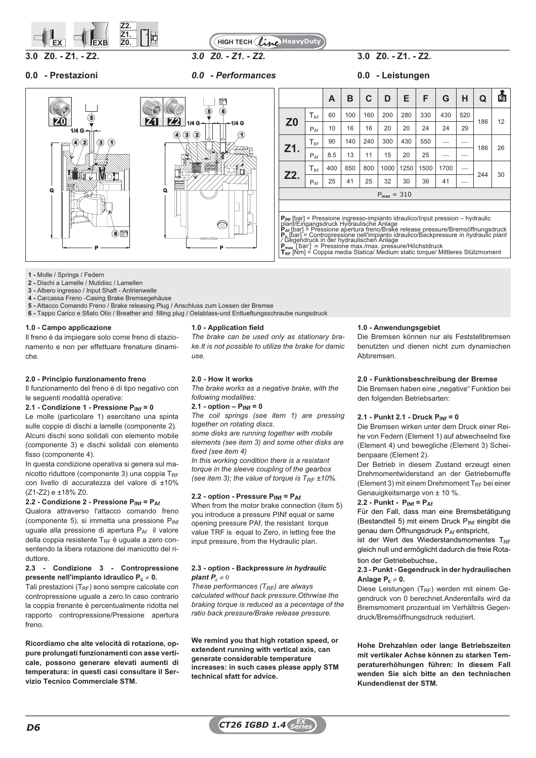



**0.0 - Prestazioni** *0.0 - Performances* **0.0 - Leistungen**

# **3.0 Z0. - Z1. - Z2.** *3.0 Z0. - Z1. - Z2.* **3.0 Z0. - Z1. - Z2.**





|                |                 | A   | в   | C   | D               | Ε    | F    | G    | н   | Q   | 鹵  |
|----------------|-----------------|-----|-----|-----|-----------------|------|------|------|-----|-----|----|
| Z <sub>0</sub> | $T_{RF}$        | 60  | 100 | 160 | 200             | 280  | 330  | 430  | 520 |     | 12 |
|                | $P_{\text{Af}}$ | 10  | 16  | 16  | 20              | 20   | 24   | 24   | 29  | 186 |    |
|                | $T_{RF}$        | 90  | 140 | 240 | 300             | 430  | 550  |      |     |     |    |
| Z1.            | $P_{Af}$        | 8.5 | 13  | 11  | 15              | 20   | 25   |      |     | 186 | 26 |
|                | $T_{RF}$        | 400 | 650 | 800 | 1000            | 1250 | 1500 | 1700 |     |     |    |
| Z2.            | $P_{Af}$        | 25  | 41  | 25  | 32              | 30   | 36   | 41   |     | 244 | 30 |
|                |                 |     |     |     | $P_{max} = 310$ |      |      |      |     |     |    |
|                |                 |     |     |     |                 |      |      |      |     |     |    |

**P<sub>INf</sub> [bar] = Pressione ingresso-impianto idraulico/Input pression – hydraulic<br>plant/Eingangsdruck Hydraulische Anlage** 

**P<sub>Af</sub> [bar] = Pressione apertura freno/Brake release pressure/Bremsöffnungsdruck<br>P<sub>C</sub> [bar] = Contropressione nell'impianto idraulico/Backpressure** *in hydraulic plant***<br>/ Gegendruck in der hydraulischen Anlage** 

**Pmax** [bar] = Pressione max./max. pressure/Höchstdruck **<sup>T</sup>RF** [Nm] = Coppia media Statica/ Medium static torque/ Mittleres Stützmoment

- **1 -** Molle / Springs / Federn
- **2 -** Dischi a Lamelle / Mutidisc / Lamellen
- **3 -** Albero ingresso / Input Shaft Antrienwelle
- **4 -** Carcassa Freno -Casing Brake Bremsegehäuse
- **5 -** Attacco Comando Freno / Brake releasing Plug / Anschluss zum Loesen der Bremse
- **6 -** Tappo Carico e Sfiato Olio / Breather and filling plug / Oelablass-und Entlueftungsschraube nungsdruck

### **1.0 - Campo applicazione**

Il freno è da impiegare solo come freno di stazionamento e non per effettuare frenature dinamiche.

### **2.0 - Principio funzionamento freno**

Il funzionamento del freno è di tipo negativo con le seguenti modalità operative:

### **2.1 - Condizione 1 - Pressione PINf = 0**

Le molle (particolare 1) esercitano una spinta sulle coppie di dischi a lamelle (componente 2). Alcuni dischi sono solidali con elemento mobile (componente 3) e dischi solidali con elemento fisso (componente 4).

In questa condizione operativa si genera sul manicotto riduttore (componente 3) una coppia  $T_{RF}$ con livello di accuratezza del valore di ±10% (Z1-Z2) e ±18% Z0.

### **2.2 - Condizione 2 - Pressione PINf = PAf**

Qualora attraverso l'attacco comando freno (componente 5), si immetta una pressione  $P_{\text{INf}}$ uguale alla pressione di apertura P<sub>Af</sub> il valore della coppia resistente  $T_{RF}$  è uguale a zero consentendo la libera rotazione del manicotto del riduttore.

### **2.3 - Condizione 3 - Contropressione presente nell'impianto idraulico Pc 0.**

Tali prestazioni ( $T_{RF}$ ) sono sempre calcolate con contropressione uguale a zero.In caso contrario la coppia frenante è percentualmente ridotta nel rapporto contropressione/Pressione apertura freno.

**Ricordiamo che alte velocità di rotazione, oppure prolungati funzionamenti con asse verticale, possono generare elevati aumenti di temperatura: in questi casi consultare il Servizio Tecnico Commerciale STM.**

### **1.0 - Application field**

*The brake can be used only as stationary brake.It is not possible to utilize the brake for damic use.*

### **2.0 - How it works**

*The brake works as a negative brake, with the following modalities:*

# **2.1 - option –**  $P_{INf} = 0$

*The coil springs (see item 1) are pressing together on rotating discs.*

*some disks are running together with mobile elements (see item 3) and some other disks are fixed (see item 4)*

*In this working condition there is a resistant torque in the sleeve coupling of the gearbox (see item 3); the value of torque is T<sub>RF</sub> ±10%.* 

### **2.2 - option - Pressure PINf = PAf**

When from the motor brake connection (item 5) you introduce a pressure PINf equal or same opening pressure PAf, the resistant torque value TRF is equal to Zero, in letting free the input pressure, from the Hydraulic plan.

### **2.3 - option - Backpressure** *in hydraulic plant*  $P_c \neq 0$

*These performances (TRF) are always calculated without back pressure.Othrwise the braking torque is reduced as a pecentage of the ratio back pressure/Brake release pressure.*

**We remind you that high rotation speed, or extendent running with vertical axis, can generate considerable temperature increases: in such cases please apply STM technical sfatt for advice.**

### **1.0 - Anwendungsgebiet**

Die Bremsen können nur als Feststellbremsen benutzten und dienen nicht zum dynamischen Abbremsen.

### **2.0 - Funktionsbeschreibung der Bremse**

Die Bremsen haben eine "negative" Funktion bei den folgenden Betriebsarten:

### **2.1 - Punkt 2.1 - Druck PINf = 0**

Die Bremsen wirken unter dem Druck einer Reihe von Federn (Element 1) auf abwechselnd fixe (Element 4) und bewegliche (Element 3) Scheibenpaare (Element 2).

Der Betrieb in diesem Zustand erzeugt einen Drehmomentwiderstand an der Getriebemuffe (Element 3) mit einem Drehmoment  $T_{RF}$  bei einer Genauigkeitsmarge von ± 10 %.

### **2.2 - Punkt - PINf = PAf**

Für den Fall, dass man eine Bremsbetätigung (Bestandteil 5) mit einem Druck P<sub>INf</sub> eingibt die genau dem Öffnungsdruck PAf entspricht,

ist der Wert des Wiederstandsmomentes  $T_{RF}$ gleich null und ermöglicht dadurch die freie Rotation der Getriebebuchse*.*

### **2.3 - Punkt - Gegendruck in der hydraulischen** Anlage  $P_c \neq 0$ .

Diese Leistungen (T<sub>RF</sub>) werden mit einem Gegendruck von 0 berechnet.Anderenfalls wird da Bremsmoment prozentual im Verhältnis Gegendruck/Bremsöffnungsdruck reduziert.

**Hohe Drehzahlen oder lange Betriebszeiten mit vertikaler Achse können zu starken Temperaturerhöhungen führen: In diesem Fall wenden Sie sich bitte an den technischen Kundendienst der STM.**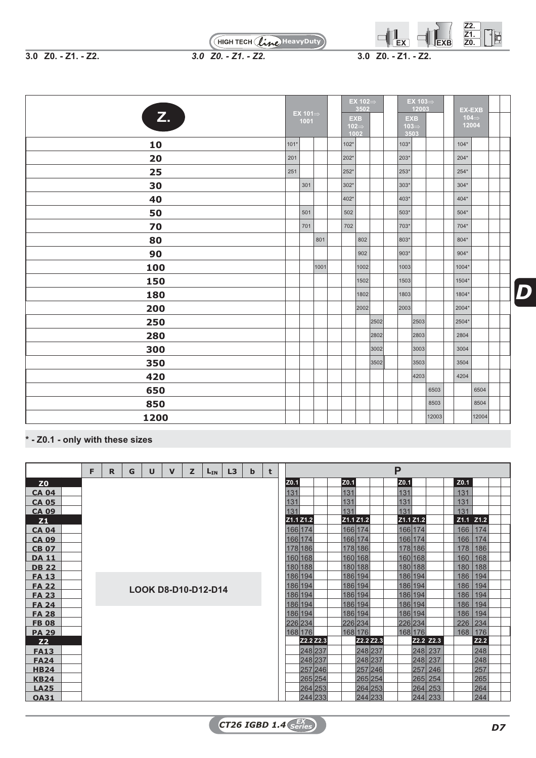

**3.0 Z0. - Z1. - Z2.** *3.0 Z0. - Z1. - Z2.* **3.0 Z0. - Z1. - Z2.**

| Z.   |      | EX 101 $\Rightarrow$<br>1001 |      | <b>EXB</b><br>$102 \Rightarrow$<br>1002 | EX 102 $\Rightarrow$<br>3502 |      | <b>EXB</b><br>$103 \Rightarrow$<br>3503 | EX 103 $\Rightarrow$<br>12003 |       | <b>EX-EXB</b><br>104 $\Rightarrow$<br>12004 |       |  |
|------|------|------------------------------|------|-----------------------------------------|------------------------------|------|-----------------------------------------|-------------------------------|-------|---------------------------------------------|-------|--|
| 10   | 101* |                              |      | 102*                                    |                              |      | $103*$                                  |                               |       | $104*$                                      |       |  |
| 20   | 201  |                              |      | 202*                                    |                              |      | 203*                                    |                               |       | $204*$                                      |       |  |
| 25   | 251  |                              |      | 252*                                    |                              |      | 253*                                    |                               |       | $254*$                                      |       |  |
| 30   |      | 301                          |      | 302*                                    |                              |      | 303*                                    |                               |       | $304*$                                      |       |  |
| 40   |      |                              |      | 402*                                    |                              |      | 403*                                    |                               |       | $404*$                                      |       |  |
| 50   |      | 501                          |      | 502                                     |                              |      | 503*                                    |                               |       | $504*$                                      |       |  |
| 70   |      | 701                          |      | 702                                     |                              |      | 703*                                    |                               |       | $704*$                                      |       |  |
| 80   |      |                              | 801  |                                         | 802                          |      | 803*                                    |                               |       | $804*$                                      |       |  |
| 90   |      |                              |      |                                         | 902                          |      | 903*                                    |                               |       | $904*$                                      |       |  |
| 100  |      |                              | 1001 |                                         | 1002                         |      | 1003                                    |                               |       | $1004*$                                     |       |  |
| 150  |      |                              |      |                                         | 1502                         |      | 1503                                    |                               |       | 1504*                                       |       |  |
| 180  |      |                              |      |                                         | 1802                         |      | 1803                                    |                               |       | 1804*                                       |       |  |
| 200  |      |                              |      |                                         | 2002                         |      | 2003                                    |                               |       | 2004*                                       |       |  |
| 250  |      |                              |      |                                         |                              | 2502 |                                         | 2503                          |       | 2504*                                       |       |  |
| 280  |      |                              |      |                                         |                              | 2802 |                                         | 2803                          |       | 2804                                        |       |  |
| 300  |      |                              |      |                                         |                              | 3002 |                                         | 3003                          |       | 3004                                        |       |  |
| 350  |      |                              |      |                                         |                              | 3502 |                                         | 3503                          |       | 3504                                        |       |  |
| 420  |      |                              |      |                                         |                              |      |                                         | 4203                          |       | 4204                                        |       |  |
| 650  |      |                              |      |                                         |                              |      |                                         |                               | 6503  |                                             | 6504  |  |
| 850  |      |                              |      |                                         |                              |      |                                         |                               | 8503  |                                             | 8504  |  |
| 1200 |      |                              |      |                                         |                              |      |                                         |                               | 12003 |                                             | 12004 |  |

**\* - Z0.1 - only with these sizes**

|                | E | R | G | U | $\mathbf v$ | z | $L_{IN}$                   | L3 | b | t |      |           |         |             |           | P         |           |     |                  |               |  |
|----------------|---|---|---|---|-------------|---|----------------------------|----|---|---|------|-----------|---------|-------------|-----------|-----------|-----------|-----|------------------|---------------|--|
| Z <sub>0</sub> |   |   |   |   |             |   |                            |    |   |   | Z0.1 |           |         | <b>Z0.1</b> |           | Z0.1      |           |     | Z <sub>0.1</sub> |               |  |
| <b>CA 04</b>   |   |   |   |   |             |   |                            |    |   |   | 131  |           |         | 131         |           | 131       |           |     | 131              |               |  |
| <b>CA 05</b>   |   |   |   |   |             |   |                            |    |   |   | 131  |           |         | 131         |           | 131       |           |     | 131              |               |  |
| <b>CA 09</b>   |   |   |   |   |             |   |                            |    |   |   | 131  |           |         | 131         |           | 131       |           |     | 131              |               |  |
| <b>Z1</b>      |   |   |   |   |             |   |                            |    |   |   |      | Z1.1 Z1.2 |         | Z1.1 Z1.2   |           | Z1.1 Z1.2 |           |     |                  | $Z1.1$ $Z1.2$ |  |
| <b>CA 04</b>   |   |   |   |   |             |   |                            |    |   |   |      | 166 174   |         | 166 174     |           | 166 174   |           |     | 166              | 174           |  |
| <b>CA 09</b>   |   |   |   |   |             |   |                            |    |   |   |      | 166 174   |         | 166 174     |           |           | 166 174   |     | 166              | 174           |  |
| <b>CB 07</b>   |   |   |   |   |             |   |                            |    |   |   |      | 178 186   |         | 178 186     |           |           | 178 186   |     | 178              | 186           |  |
| <b>DA 11</b>   |   |   |   |   |             |   |                            |    |   |   |      | 160 168   |         |             | 160 168   |           | 160 168   |     | 160              | 168           |  |
| <b>DB 22</b>   |   |   |   |   |             |   |                            |    |   |   |      | 180 188   |         |             | 180 188   | 180 188   |           |     | 180              | 188           |  |
| <b>FA 13</b>   |   |   |   |   |             |   |                            |    |   |   |      | 186 194   |         | 186 194     |           | 186 194   |           |     | 186              | 194           |  |
| <b>FA 22</b>   |   |   |   |   |             |   | <b>LOOK D8-D10-D12-D14</b> |    |   |   |      | 186 194   |         |             | 186 194   |           | 186 194   |     | 186              | 194           |  |
| <b>FA 23</b>   |   |   |   |   |             |   |                            |    |   |   |      | 186 194   |         | 186 194     |           | 186 194   |           |     | 186              | 194           |  |
| <b>FA 24</b>   |   |   |   |   |             |   |                            |    |   |   |      | 186 194   |         |             | 186 194   | 186 194   |           |     | 186              | 194           |  |
| <b>FA 28</b>   |   |   |   |   |             |   |                            |    |   |   |      | 186 194   |         |             | 186 194   | 186 194   |           |     | 186              | 194           |  |
| <b>FB 08</b>   |   |   |   |   |             |   |                            |    |   |   |      | 226 234   |         | 226 234     |           | 226 234   |           |     | 226              | 234           |  |
| <b>PA 29</b>   |   |   |   |   |             |   |                            |    |   |   |      | 168 176   |         |             | 168 176   |           | 168 176   |     | 168              | 176           |  |
| <b>Z2</b>      |   |   |   |   |             |   |                            |    |   |   |      | Z2.2 Z2.3 |         |             | Z2.2 Z2.3 |           | Z2.2 Z2.3 |     |                  | Z2.2          |  |
| <b>FA13</b>    |   |   |   |   |             |   |                            |    |   |   |      | 248 237   |         |             | 248 237   |           | 248 237   |     |                  | 248           |  |
| <b>FA24</b>    |   |   |   |   |             |   |                            |    |   |   |      | 248 237   |         |             | 248 237   |           | 248 237   |     |                  | 248           |  |
| <b>HB24</b>    |   |   |   |   |             |   |                            |    |   |   |      |           | 257 246 |             | 257 246   |           | 257       | 246 |                  | 257           |  |
| <b>KB24</b>    |   |   |   |   |             |   |                            |    |   |   |      | 265 254   |         |             | 265 254   |           | 265 254   |     |                  | 265           |  |
| <b>LA25</b>    |   |   |   |   |             |   |                            |    |   |   |      |           | 264 253 |             | 264 253   |           | 264 253   |     |                  | 264           |  |
| <b>OA31</b>    |   |   |   |   |             |   |                            |    |   |   |      |           | 244 233 |             | 244 233   |           | 244       | 233 |                  | 244           |  |

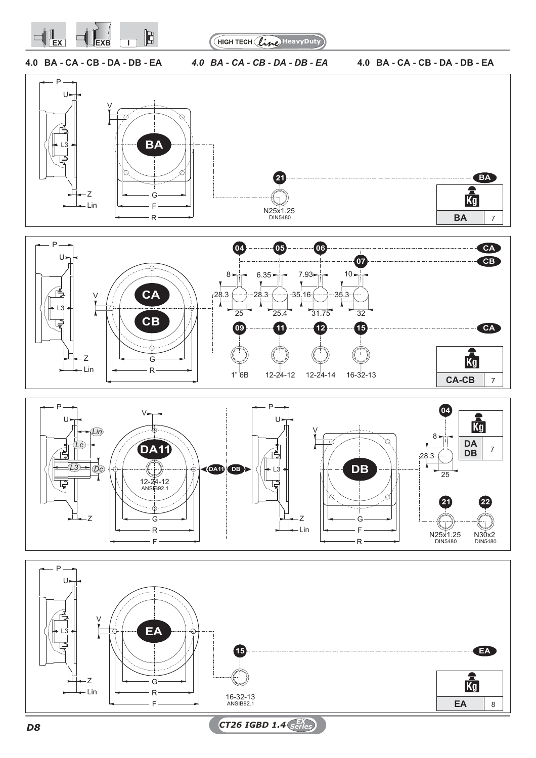

HIGH TECH (line) HeavyDuty

**4.0 BA - CA - CB - DA - DB - EA** *4.0 BA - CA - CB - DA - DB - EA* **4.0 BA - CA - CB - DA - DB - EA**







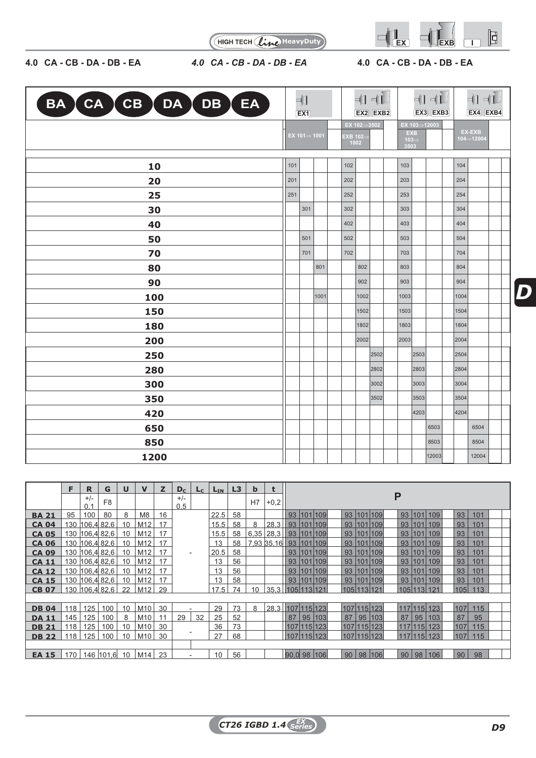

HIGH TECH (line HeavyDuty)

# **4.0 CA - CB - DA - DB - EA** *4.0 CA - CB - DA - DB - EA* **4.0 CA - CB - DA - DB - EA**

|  |  | 4.0 CA-CB-DA-DB-E |  |
|--|--|-------------------|--|

|  |  |  |  |  |  |  |  | 1.0 CA-CB-DA-DB-E <i>A</i> |  |  |  |
|--|--|--|--|--|--|--|--|----------------------------|--|--|--|
|--|--|--|--|--|--|--|--|----------------------------|--|--|--|

| BA CA CB DA DB EA | - [1<br>EX1 |                           |      | $\Pi$<br>$EX2$ $EXB2$  |             |      |                                         | $+1 + 1$<br>EX3 EXB3 |       | $+1 + 1$<br>EX4 EXB4 |                         |  |
|-------------------|-------------|---------------------------|------|------------------------|-------------|------|-----------------------------------------|----------------------|-------|----------------------|-------------------------|--|
|                   |             | EX $101 \Rightarrow 1001$ |      | <b>EXB 102</b><br>1002 | EX 102⇒3502 |      | <b>EXB</b><br>$103 \Rightarrow$<br>3503 | EX 103⇒12003         |       |                      | EX-EXB<br>$104 = 12004$ |  |
| 10                | 101         |                           |      | $102$                  |             |      | 103                                     |                      |       | 104                  |                         |  |
| 20                | 201         |                           |      | 202                    |             |      | 203                                     |                      |       | 204                  |                         |  |
| 25                | 251         |                           |      | 252                    |             |      | 253                                     |                      |       | 254                  |                         |  |
| 30                |             | 301                       |      | 302                    |             |      | 303                                     |                      |       | 304                  |                         |  |
| 40                |             |                           |      | 402                    |             |      | 403                                     |                      |       | 404                  |                         |  |
| 50                |             | 501                       |      | 502                    |             |      | 503                                     |                      |       | 504                  |                         |  |
| 70                |             | 701                       |      | 702                    |             |      | 703                                     |                      |       | 704                  |                         |  |
| 80                |             |                           | 801  |                        | 802         |      | 803                                     |                      |       | 804                  |                         |  |
| 90                |             |                           |      |                        | 902         |      | 903                                     |                      |       | 904                  |                         |  |
| 100               |             |                           | 1001 |                        | 1002        |      | 1003                                    |                      |       | 1004                 |                         |  |
| 150               |             |                           |      |                        | 1502        |      | 1503                                    |                      |       | 1504                 |                         |  |
| 180               |             |                           |      |                        | 1802        |      | 1803                                    |                      |       | 1804                 |                         |  |
| 200               |             |                           |      |                        | 2002        |      | 2003                                    |                      |       | 2004                 |                         |  |
| 250               |             |                           |      |                        |             | 2502 |                                         | 2503                 |       | 2504                 |                         |  |
| 280               |             |                           |      |                        |             | 2802 |                                         | 2803                 |       | 2804                 |                         |  |
| 300               |             |                           |      |                        |             | 3002 |                                         | 3003                 |       | 3004                 |                         |  |
| 350               |             |                           |      |                        |             | 3502 |                                         | 3503                 |       | 3504                 |                         |  |
| 420               |             |                           |      |                        |             |      |                                         | 4203                 |       | 4204                 |                         |  |
| 650               |             |                           |      |                        |             |      |                                         |                      | 6503  |                      | 6504                    |  |
| 850               |             |                           |      |                        |             |      |                                         |                      | 8503  |                      | 8504                    |  |
| 1200              |             |                           |      |                        |             |      |                                         |                      | 12003 |                      | 12004                   |  |

|              | F   | R              | G              | $\mathbf U$ | $\mathbf v$    | z  | $D_c$                    | $L_{\rm C}$ | $L_{IN}$ | L3 | $\mathbf b$ | t      |                                                                              |  |
|--------------|-----|----------------|----------------|-------------|----------------|----|--------------------------|-------------|----------|----|-------------|--------|------------------------------------------------------------------------------|--|
|              |     | $+/-$<br>0.1   | F <sub>8</sub> |             |                |    | $+/-$<br>0,5             |             |          |    | H7          | $+0,2$ | P                                                                            |  |
| <b>BA 21</b> | 95  | 100            | 80             | 8           | M <sub>8</sub> | 16 |                          |             | 22.5     | 58 |             |        | 93   101   109  <br>93   101   109  <br>93 <br>93<br>101 109<br>101          |  |
| <b>CA 04</b> |     | 130 106,4 82,6 |                | 10          | M12            | 17 |                          |             | 15.5     | 58 | 8           | 28,3   | 93   101   109<br>93   101   109<br>93<br>93   101   109<br>101              |  |
| <b>CA 05</b> |     | 130 106,4 82,6 |                | 10          | M12            | 17 |                          |             | 15.5     | 58 | 6.35        | 28,3   | 93 <br>93<br>101<br>  93   101   109<br>101 109<br>93   101   109            |  |
| <b>CA 06</b> |     | 130 106,4 82,6 |                | 10          | M12            | 17 |                          |             | 13       | 58 |             |        | 7,93 35,16   93   101   109<br>93 <br>93<br>101<br>101 109<br>93   101   109 |  |
| <b>CA 09</b> |     | 130 106,4 82,6 |                | 10          | M12            | 17 | $\overline{\phantom{a}}$ |             | 20.5     | 58 |             |        | 101<br>93   101   109<br>93 <br>93<br>101 109<br>93   101   109              |  |
| <b>CA 11</b> |     | 130 106,4 82,6 |                | 10          | M12            | 17 |                          |             | 13       | 56 |             |        | 93 <br>93   101   109<br>93<br>101<br>93   101   109<br>101 109              |  |
| <b>CA 12</b> |     | 130 106,4 82,6 |                | 10          | M12            | 17 |                          |             | 13       | 56 |             |        | 93<br>93 <br>93<br>101<br>101 109<br>101 109<br>93   101   109               |  |
| <b>CA 15</b> |     | 130 106,4 82,6 |                | 10          | M12            | 17 |                          |             | 13       | 58 |             |        | 93 <br>93<br>101<br>93 101 109<br>101 109<br>93 101 109                      |  |
| <b>CB 07</b> |     | 130 106.4 82.6 |                | 22          | M12            | 29 |                          |             | 17.5     | 74 | 10          | 35.3   | 105 113 121<br>105 113 121<br>113<br>105 113 121<br>105                      |  |
|              |     |                |                |             |                |    |                          |             |          |    |             |        |                                                                              |  |
| <b>DB 04</b> | 118 | 125            | 100            | 10          | M10            | 30 |                          |             | 29       | 73 | 8           |        | 28,3 107 115 123<br>107 115 123<br>117 115 123<br>115<br>107                 |  |
| <b>DA 11</b> | 145 | 125            | 100            | 8           | M10            | 11 | 29                       | 32          | 25       | 52 |             |        | 87<br>95 103<br>87<br>95<br>87<br>95<br> 95 103<br>87<br>103                 |  |
| <b>DB 21</b> | 118 | 125            | 100            | 10          | M10            | 30 |                          |             | 36       | 73 |             |        | 115<br>107<br>107 115 123<br>107 115 123<br>117 115 123                      |  |
| <b>DB 22</b> | 118 | 125            | 100            | 10          | M10            | 30 |                          |             | 27       | 68 |             |        | 107 115 123<br>115<br>117 115 123<br>107 115 123<br>107                      |  |
|              |     |                |                |             |                |    |                          |             |          |    |             |        |                                                                              |  |
| <b>EA 15</b> | 170 | 146            | 101,6          | 10          | M14            | 23 |                          |             | 10       | 56 |             |        | 90,0 98<br>90<br>98<br>90<br>98<br>98<br>90<br> 106 <br>106<br>106           |  |
|              |     |                |                |             |                |    |                          |             |          |    |             |        |                                                                              |  |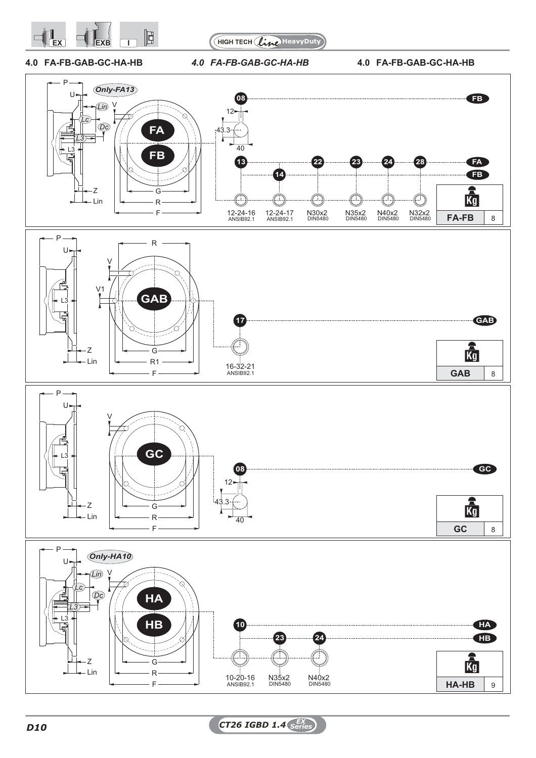



**4.0 FA-FB-GAB-GC-HA-HB** *4.0 FA-FB-GAB-GC-HA-HB* **4.0 FA-FB-GAB-GC-HA-HB**

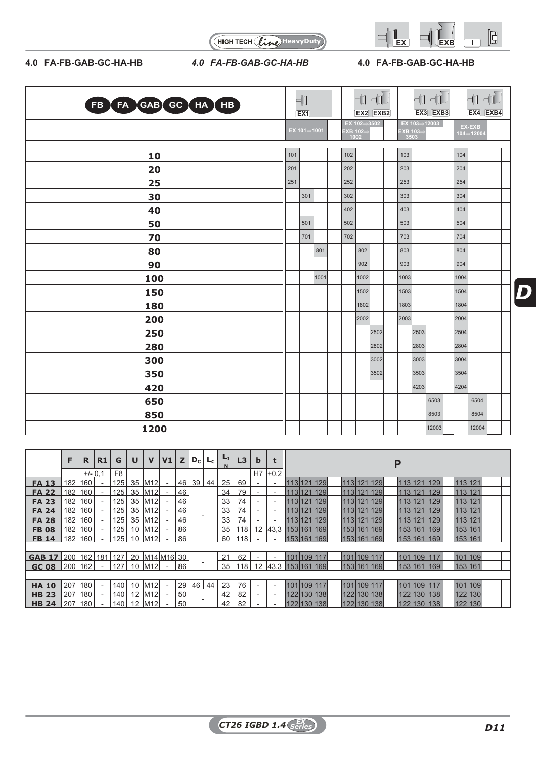



# **4.0 FA-FB-GAB-GC-HA-HB** *4.0 FA-FB-GAB-GC-HA-HB* **4.0 FA-FB-GAB-GC-HA-HB**

| FB FA GAB GC HA HB |     | ╣<br>$\overline{EX1}$ |      |                  | 中           | $\n  ii\n$<br>$EX2$ $EXB2$ |                 |              | $\begin{picture}(20,5) \put(0,0){\line(1,0){10}} \put(15,0){\line(1,0){10}} \put(15,0){\line(1,0){10}} \put(15,0){\line(1,0){10}} \put(15,0){\line(1,0){10}} \put(15,0){\line(1,0){10}} \put(15,0){\line(1,0){10}} \put(15,0){\line(1,0){10}} \put(15,0){\line(1,0){10}} \put(15,0){\line(1,0){10}} \put(15,0){\line(1,0){10}} \put(15,0){\line(1,$<br>EX3 EXB3 |      | $+1 + 1$<br>EX4 EXB4 |  |
|--------------------|-----|-----------------------|------|------------------|-------------|----------------------------|-----------------|--------------|-----------------------------------------------------------------------------------------------------------------------------------------------------------------------------------------------------------------------------------------------------------------------------------------------------------------------------------------------------------------|------|----------------------|--|
|                    |     | EX 101⇒1001           |      | EXB 102=<br>1002 | EX 102⇒3502 |                            | EXB 103<br>3503 | EX 103⇒12003 |                                                                                                                                                                                                                                                                                                                                                                 |      | EX-EXB<br>104⇒12004  |  |
| 10                 | 101 |                       |      | 102              |             |                            | 103             |              |                                                                                                                                                                                                                                                                                                                                                                 | 104  |                      |  |
| 20                 | 201 |                       |      | 202              |             |                            | 203             |              |                                                                                                                                                                                                                                                                                                                                                                 | 204  |                      |  |
| 25                 | 251 |                       |      | 252              |             |                            | 253             |              |                                                                                                                                                                                                                                                                                                                                                                 | 254  |                      |  |
| 30                 |     | 301                   |      | 302              |             |                            | 303             |              |                                                                                                                                                                                                                                                                                                                                                                 | 304  |                      |  |
| 40                 |     |                       |      | 402              |             |                            | 403             |              |                                                                                                                                                                                                                                                                                                                                                                 | 404  |                      |  |
| 50                 |     | 501                   |      | 502              |             |                            | 503             |              |                                                                                                                                                                                                                                                                                                                                                                 | 504  |                      |  |
| 70                 |     | 701                   |      | 702              |             |                            | 703             |              |                                                                                                                                                                                                                                                                                                                                                                 | 704  |                      |  |
| 80                 |     |                       | 801  |                  | 802         |                            | 803             |              |                                                                                                                                                                                                                                                                                                                                                                 | 804  |                      |  |
| 90                 |     |                       |      |                  | 902         |                            | 903             |              |                                                                                                                                                                                                                                                                                                                                                                 | 904  |                      |  |
| 100                |     |                       | 1001 |                  | 1002        |                            | 1003            |              |                                                                                                                                                                                                                                                                                                                                                                 | 1004 |                      |  |
| 150                |     |                       |      |                  | 1502        |                            | 1503            |              |                                                                                                                                                                                                                                                                                                                                                                 | 1504 |                      |  |
| 180                |     |                       |      |                  | 1802        |                            | 1803            |              |                                                                                                                                                                                                                                                                                                                                                                 | 1804 |                      |  |
| 200                |     |                       |      |                  | 2002        |                            | 2003            |              |                                                                                                                                                                                                                                                                                                                                                                 | 2004 |                      |  |
| 250                |     |                       |      |                  |             | 2502                       |                 | 2503         |                                                                                                                                                                                                                                                                                                                                                                 | 2504 |                      |  |
| 280                |     |                       |      |                  |             | 2802                       |                 | 2803         |                                                                                                                                                                                                                                                                                                                                                                 | 2804 |                      |  |
| 300                |     |                       |      |                  |             | 3002                       |                 | 3003         |                                                                                                                                                                                                                                                                                                                                                                 | 3004 |                      |  |
| 350                |     |                       |      |                  |             | 3502                       |                 | 3503         |                                                                                                                                                                                                                                                                                                                                                                 | 3504 |                      |  |
| 420                |     |                       |      |                  |             |                            |                 | 4203         |                                                                                                                                                                                                                                                                                                                                                                 | 4204 |                      |  |
| 650                |     |                       |      |                  |             |                            |                 |              | 6503                                                                                                                                                                                                                                                                                                                                                            |      | 6504                 |  |
| 850                |     |                       |      |                  |             |                            |                 |              | 8503                                                                                                                                                                                                                                                                                                                                                            |      | 8504                 |  |
| 1200               |     |                       |      |                  |             |                            |                 |              | 12003                                                                                                                                                                                                                                                                                                                                                           |      | 12004                |  |

|               | F.  | R         | R1  | G              | U  | $\mathbf v$        | V <sub>1</sub> | z  | $D_{\rm C}$ | Lc | L <sub>I</sub> | L3  | b  | t                        | Р                                                              |
|---------------|-----|-----------|-----|----------------|----|--------------------|----------------|----|-------------|----|----------------|-----|----|--------------------------|----------------------------------------------------------------|
|               |     | $+/- 0.1$ |     | F <sub>8</sub> |    |                    |                |    |             |    |                |     | H7 | $ +0.2 $                 |                                                                |
| <b>FA 13</b>  | 182 | 160       |     | 125            | 35 | M <sub>12</sub>    |                | 46 | 39          | 44 | 25             | 69  |    | $\overline{\phantom{a}}$ | 113 121 129<br>113 121 129<br>113 121 129<br>113 121           |
| <b>FA 22</b>  | 182 | 160       |     | 125            |    | 35 M12             |                | 46 |             |    | 34             | 79  |    | $\blacksquare$           | 113 121 129<br>113 121 129<br>113 121 129<br>113121            |
| <b>FA 23</b>  | 182 | 160       |     | 125            |    | 35 M12             |                | 46 |             |    | 33             | 74  |    | $\overline{\phantom{a}}$ | 113 121 129<br>113121<br>113 121 129<br>113 121 129            |
| <b>FA 24</b>  | 182 | 160       |     | 125            |    | 35 M12             |                | 46 |             |    | 33             | 74  |    | $\blacksquare$           | 113 121 129<br>113121<br>113 121 129<br>113 121 <br>129        |
| <b>FA 28</b>  | 182 | 160       |     | 125            | 35 | M12                |                | 46 |             |    | 33             | 74  |    |                          | 113 121 129<br>113 121 129<br>113 121<br>113 121<br>129        |
| <b>FB 08</b>  | 182 | 160       |     | 125            |    | 10 M12             |                | 86 |             |    | 35             | 118 | 12 |                          | 43,3 153 161 169<br>153 161<br>153 161 169<br>153 161<br>169   |
| <b>FB 14</b>  | 182 | 160       |     | 125            | 10 | M <sub>12</sub>    |                | 86 |             |    | 60             | 118 |    |                          | 153 161 169<br>153 161<br>153 161<br>153 161 169<br>169        |
|               |     |           |     |                |    |                    |                |    |             |    |                |     |    |                          |                                                                |
| <b>GAB 17</b> | 200 | 162       | 181 | 127            | 20 | M14 M16 30         |                |    |             |    | 21             | 62  |    |                          | 101 109 117<br>101 109 117<br>101 109 117<br>101 109           |
| <b>GC 08</b>  | 200 | 162       |     | 127            | 10 | <b>M12</b>         |                | 86 |             |    | 35             | 118 | 12 |                          | 43,3 153 161 169<br> 153 161 <br>153 161 169<br>153 161<br>169 |
|               |     |           |     |                |    |                    |                |    |             |    |                |     |    |                          |                                                                |
| <b>HA 10</b>  | 207 | 180       |     | 140            |    | 10 M12             |                | 29 | 46          | 44 | 23             | 76  |    |                          | 101 109 117<br>101 109 117<br>101 109 117<br>101 109           |
| <b>HB 23</b>  | 207 | 180       |     | 140            |    | 12 M <sub>12</sub> |                | 50 |             |    | 42             | 82  |    | $\overline{\phantom{a}}$ | 122 130 138<br>122 130 138<br>122 130 138<br>122 130           |
| <b>HB 24</b>  | 207 | 180       |     | 140            |    | 12 M <sub>12</sub> |                | 50 |             |    | 42             | 82  |    | $\overline{\phantom{a}}$ | 122 130 138<br>122 130 138<br>122 130<br>122 130<br>138        |
|               |     |           |     |                |    |                    |                |    |             |    |                |     |    |                          |                                                                |

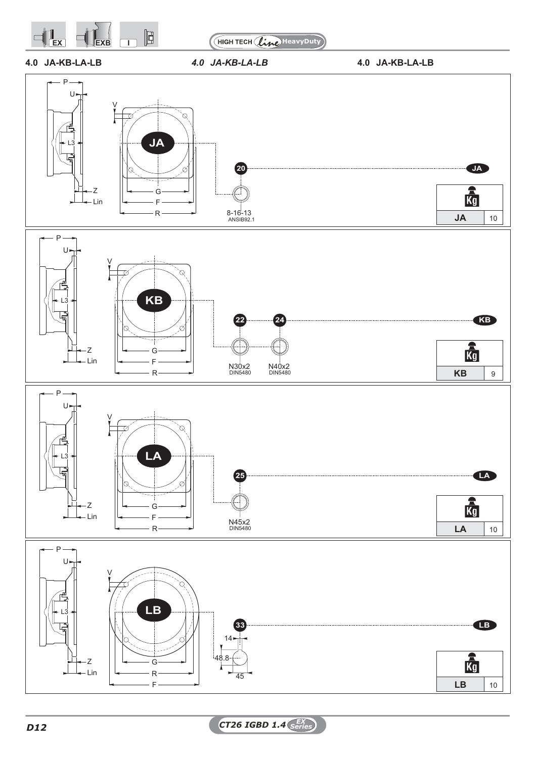

HIGH TECH (line) HeavyDuty

- 
- **4.0 JA-KB-LA-LB** *4.0 JA-KB-LA-LB* **4.0 JA-KB-LA-LB**

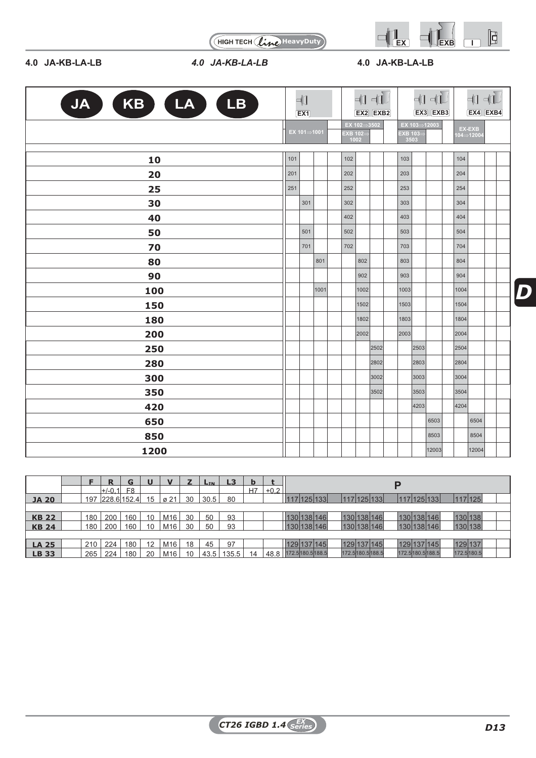

HIGH TECH (line HeavyDuty)

# **4.0 JA-KB-LA-LB** *4.0 JA-KB-LA-LB* **4.0 JA-KB-LA-LB**

| KB LA<br><b>JA</b><br><b>LB</b> |     | 4∏<br>EX1   |      |                  |                           | $\Pi$ $\Pi$<br>EX2 EXB2 |                  |              | $\begin{picture}(20,5) \put(0,0){\line(1,0){10}} \put(15,0){\line(1,0){10}} \put(15,0){\line(1,0){10}} \put(15,0){\line(1,0){10}} \put(15,0){\line(1,0){10}} \put(15,0){\line(1,0){10}} \put(15,0){\line(1,0){10}} \put(15,0){\line(1,0){10}} \put(15,0){\line(1,0){10}} \put(15,0){\line(1,0){10}} \put(15,0){\line(1,0){10}} \put(15,0){\line(1,$<br>EX3 EXB3 |      |                         | $\Pi$<br>$EX4$ $EXB4$ |  |
|---------------------------------|-----|-------------|------|------------------|---------------------------|-------------------------|------------------|--------------|-----------------------------------------------------------------------------------------------------------------------------------------------------------------------------------------------------------------------------------------------------------------------------------------------------------------------------------------------------------------|------|-------------------------|-----------------------|--|
|                                 |     | EX 101⇒1001 |      | EXB 102=<br>1002 | $EX 102 \rightarrow 3502$ |                         | EXB 103=<br>3503 | EX 103=12003 |                                                                                                                                                                                                                                                                                                                                                                 |      | EX-EXB<br>$104 = 12004$ |                       |  |
| 10                              | 101 |             |      | 102              |                           |                         | 103              |              |                                                                                                                                                                                                                                                                                                                                                                 | 104  |                         |                       |  |
| 20                              | 201 |             |      | 202              |                           |                         | 203              |              |                                                                                                                                                                                                                                                                                                                                                                 |      | 204                     |                       |  |
| 25                              | 251 |             |      | 252              |                           |                         | 253              |              |                                                                                                                                                                                                                                                                                                                                                                 | 254  |                         |                       |  |
| 30                              |     | 301         |      | 302              |                           |                         | 303              |              |                                                                                                                                                                                                                                                                                                                                                                 | 304  |                         |                       |  |
| 40                              |     |             |      | 402              |                           |                         | 403              |              |                                                                                                                                                                                                                                                                                                                                                                 | 404  |                         |                       |  |
| 50                              |     | 501         |      | 502              |                           |                         | 503              |              |                                                                                                                                                                                                                                                                                                                                                                 | 504  |                         |                       |  |
| 70                              |     | 701         |      | 702              |                           |                         | 703              |              |                                                                                                                                                                                                                                                                                                                                                                 | 704  |                         |                       |  |
| 80                              |     |             | 801  |                  | 802                       |                         | 803              |              |                                                                                                                                                                                                                                                                                                                                                                 |      | 804                     |                       |  |
| 90                              |     |             |      |                  | 902                       |                         | 903              |              |                                                                                                                                                                                                                                                                                                                                                                 | 904  |                         |                       |  |
| 100                             |     |             | 1001 |                  | 1002                      |                         | 1003             |              |                                                                                                                                                                                                                                                                                                                                                                 | 1004 |                         |                       |  |
| 150                             |     |             |      |                  | 1502                      |                         | 1503             |              |                                                                                                                                                                                                                                                                                                                                                                 | 1504 |                         |                       |  |
| 180                             |     |             |      |                  | 1802                      |                         | 1803             |              |                                                                                                                                                                                                                                                                                                                                                                 | 1804 |                         |                       |  |
| 200                             |     |             |      |                  | 2002                      |                         | 2003             |              |                                                                                                                                                                                                                                                                                                                                                                 | 2004 |                         |                       |  |
| 250                             |     |             |      |                  |                           | 2502                    |                  | 2503         |                                                                                                                                                                                                                                                                                                                                                                 | 2504 |                         |                       |  |
| 280                             |     |             |      |                  |                           | 2802                    |                  | 2803         |                                                                                                                                                                                                                                                                                                                                                                 | 2804 |                         |                       |  |
| 300                             |     |             |      |                  |                           | 3002                    |                  | 3003         |                                                                                                                                                                                                                                                                                                                                                                 | 3004 |                         |                       |  |
| 350                             |     |             |      |                  |                           | 3502                    |                  | 3503         |                                                                                                                                                                                                                                                                                                                                                                 | 3504 |                         |                       |  |
| 420                             |     |             |      |                  |                           |                         |                  | 4203         |                                                                                                                                                                                                                                                                                                                                                                 | 4204 |                         |                       |  |
| 650                             |     |             |      |                  |                           |                         |                  |              | 6503                                                                                                                                                                                                                                                                                                                                                            |      | 6504                    |                       |  |
| 850                             |     |             |      |                  |                           |                         |                  |              | 8503                                                                                                                                                                                                                                                                                                                                                            |      | 8504                    |                       |  |
| 1200                            |     |             |      |                  |                           |                         |                  |              | 12003                                                                                                                                                                                                                                                                                                                                                           |      | 12004                   |                       |  |

|                 |     |             | G              | U  |      |    | L <sub>IN</sub> | L3    | b  |        |                             |                   | D               |             |
|-----------------|-----|-------------|----------------|----|------|----|-----------------|-------|----|--------|-----------------------------|-------------------|-----------------|-------------|
|                 |     | $+/-0.1$    | F <sub>8</sub> |    |      |    |                 |       | H7 | $+0.2$ |                             |                   |                 |             |
| <b>JA 20</b>    | 197 | 228.6 152.4 |                | 15 | ø 21 | 30 | 30.5            | 80    |    |        | 117 125 133<br>$\mathsf{I}$ | $117$  125 133    | 117 125 133     | 117 125     |
|                 |     |             |                |    |      |    |                 |       |    |        |                             |                   |                 |             |
| <b>KB 22</b>    | 180 | 200         | 160            | 10 | M16  | 30 | 50              | 93    |    |        | 130 138 146                 | 130 138 146       | 130 138 146     | 130 138     |
| <b>KB 24</b>    | 180 | 200         | 160            | 10 | M16  | 30 | 50              | 93    |    |        | 130 138 146                 | 130 138 146       | 130 138 146     | 130 138     |
|                 |     |             |                |    |      |    |                 |       |    |        |                             |                   |                 |             |
| <b>LA 25</b>    | 210 | 224         | 180            | 12 | M16  | 18 | 45              | 97    |    |        | 129 137 145                 | 129 137 145       | 129 137 145     | 129 137     |
| $\mathsf{LB}33$ | 265 | 224         | 180            | 20 | M16  | 10 | 43.5            | 135.5 | 14 |        | 48.8 172.5 180.5 188.5      | 172.5 180.5 188.5 | 172.5180.5188.5 | 172.5 180.5 |
|                 |     |             |                |    |      |    |                 |       |    |        |                             |                   |                 |             |

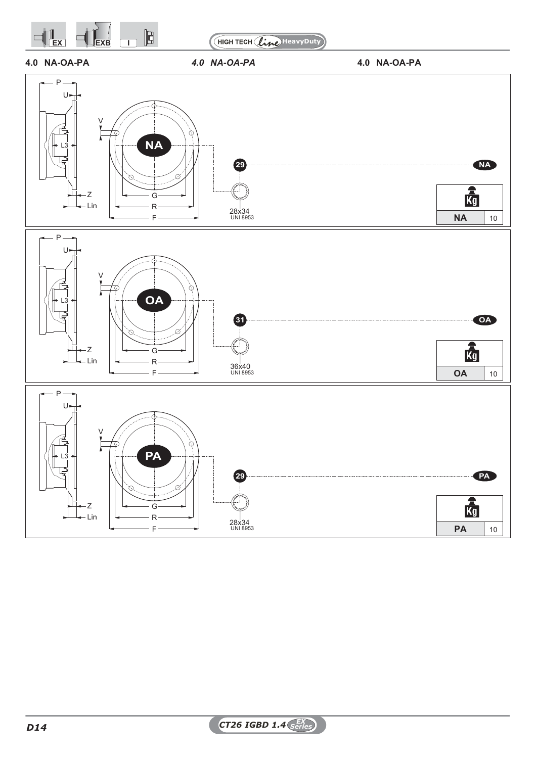

HIGH TECH (line) HeavyDuty







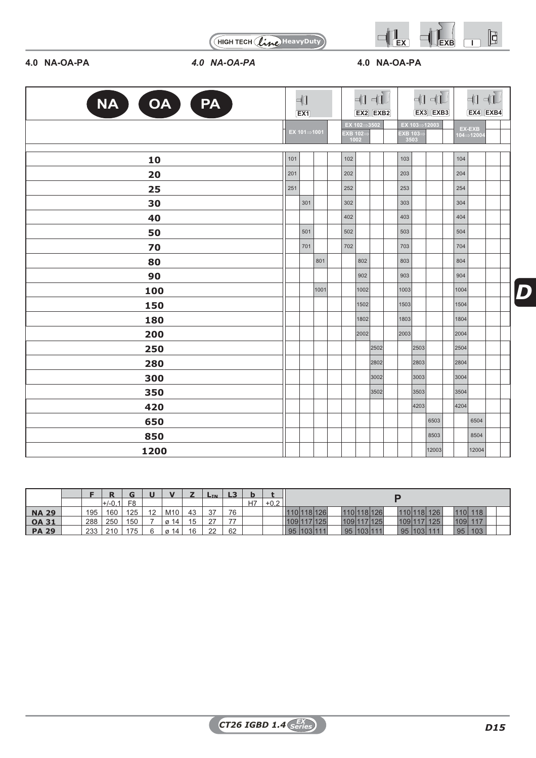

HIGH TECH (line) HeavyDuty

# **4.0 NA-OA-PA** *4.0 NA-OA-PA* **4.0 NA-OA-PA**

| NA OA O<br>PA |     | $\neg$<br>EX1 |      |                         |                           | $\Pi$ $\Pi$<br>EX2 EXB2 |                  |      | $\not\exists$<br>EX3 EXB3 |      |                                            | $+1 + 1$<br>EX4 EXB4 |  |
|---------------|-----|---------------|------|-------------------------|---------------------------|-------------------------|------------------|------|---------------------------|------|--------------------------------------------|----------------------|--|
|               |     | EX 101⇒1001   |      | <b>EXB 102=</b><br>1002 | $EX 102 \rightarrow 3502$ |                         | EXB 103=<br>3503 |      | EX 103⇒12003              |      | EX-EXB<br>$104\rightarrow\overline{12004}$ |                      |  |
| 10            | 101 |               |      | 102                     |                           |                         | 103              |      |                           |      | 104                                        |                      |  |
| 20            | 201 |               |      | 202                     |                           |                         | 203              |      |                           |      | 204                                        |                      |  |
| 25            | 251 |               |      | 252                     |                           |                         | 253              |      |                           |      | 254                                        |                      |  |
| 30            |     | 301           |      | 302                     |                           |                         | 303              |      |                           |      | 304                                        |                      |  |
| 40            |     |               |      | 402                     |                           |                         | 403              |      |                           |      | 404                                        |                      |  |
| 50            |     | 501           |      | 502                     |                           |                         | 503              |      |                           |      | 504                                        |                      |  |
| 70            |     | 701           |      | 702                     |                           |                         | 703              |      |                           |      | 704                                        |                      |  |
| 80            |     |               | 801  |                         | 802                       |                         | 803              |      |                           |      | 804                                        |                      |  |
| 90            |     |               |      |                         | 902                       |                         | 903              |      |                           |      | 904                                        |                      |  |
| 100           |     |               | 1001 |                         | 1002                      |                         | 1003             |      |                           |      | 1004                                       |                      |  |
| 150           |     |               |      |                         | 1502                      |                         | 1503             |      |                           |      | 1504                                       |                      |  |
| 180           |     |               |      |                         | 1802                      |                         | 1803             |      |                           |      | 1804                                       |                      |  |
| 200           |     |               |      |                         | 2002                      |                         | 2003             |      |                           |      | 2004                                       |                      |  |
| 250           |     |               |      |                         |                           | 2502                    |                  | 2503 |                           | 2504 |                                            |                      |  |
| 280           |     |               |      |                         |                           | 2802                    |                  | 2803 |                           | 2804 |                                            |                      |  |
| 300           |     |               |      |                         |                           | 3002                    |                  | 3003 |                           |      | 3004                                       |                      |  |
| 350           |     |               |      |                         |                           | 3502                    |                  | 3503 |                           |      | 3504                                       |                      |  |
| 420           |     |               |      |                         |                           |                         |                  | 4203 |                           |      | 4204                                       |                      |  |
| 650           |     |               |      |                         |                           |                         |                  |      | 6503                      |      | 6504                                       |                      |  |
|               |     |               |      |                         |                           |                         |                  |      |                           |      |                                            |                      |  |

|              |     |          |                |    |                 |         | <b>LIN</b>    | $\mathbf{L}$ |    |        |             |         |  |                |     |      |             |     |         |  |
|--------------|-----|----------|----------------|----|-----------------|---------|---------------|--------------|----|--------|-------------|---------|--|----------------|-----|------|-------------|-----|---------|--|
|              |     | $+/-0.1$ | F <sub>8</sub> |    |                 |         |               |              | H7 | $+0.2$ |             |         |  |                |     |      |             |     |         |  |
| <b>NA 29</b> | 195 | 160      | 125            | 12 | M <sub>10</sub> | 43      | 27<br>ັບ      | 76           |    |        | 110 118 126 |         |  | 110 118 126    |     |      | 110 118 126 |     | 110 118 |  |
| <b>OA 31</b> | 288 | 250      | 150            |    | 14              | J       | $\sim$<br>- 1 | 77           |    |        | 1091        | 117 125 |  | 109 117 125    | 109 |      | 17 125      | 109 | 117     |  |
| PA 29        | 233 | 210      | 175            | ิค | -14<br>Ø        | 16<br>◡ | າາ<br>∼       | 62           |    |        | 95          | 103 111 |  | 95   103   111 | 95  | 1031 | 111         | 95  | 103     |  |
|              |     |          |                |    |                 |         |               |              |    |        |             |         |  |                |     |      |             |     |         |  |

**850** 8503 8504 **1200** 12004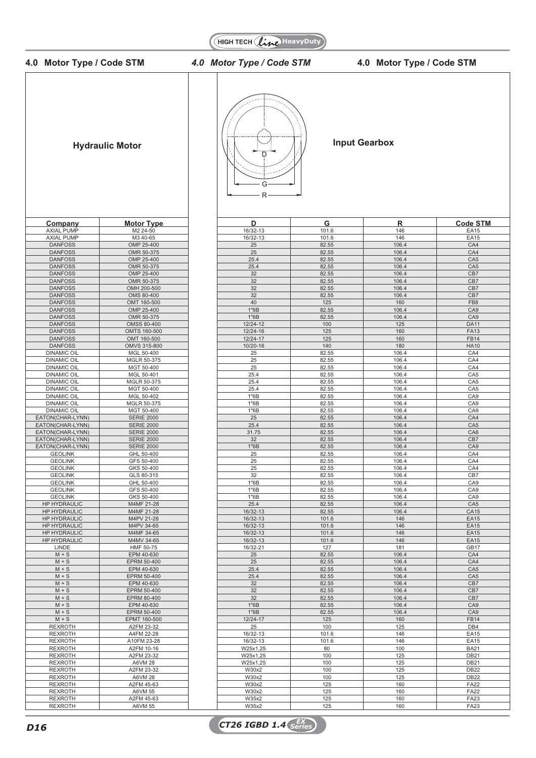

**HIGH TECH (Line HeavyDuty)** 

**4.0 Motor Type / Code STM** *4.0 Motor Type / Code STM* **4.0 Motor Type / Code STM**

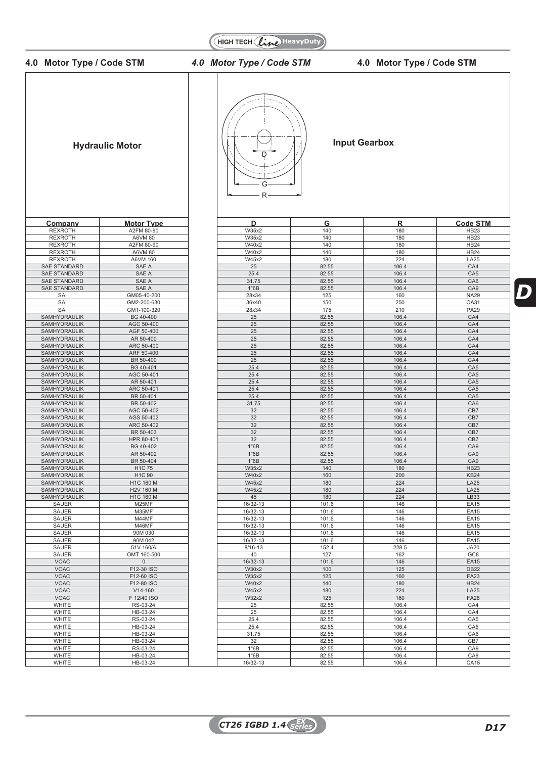



# **4.0 Motor Type / Code STM** *4.0 Motor Type / Code STM* **4.0 Motor Type / Code STM**

*D*



WHITE | RS-03-24 | | 1"6B | 82.55 | 106.4 | CA9 WHITE | HB-03-24 | | 1"6B | 82.55 | 106.4 | CA9 WHITE HB-03-24 16/32-13 82.55 106.4 CA15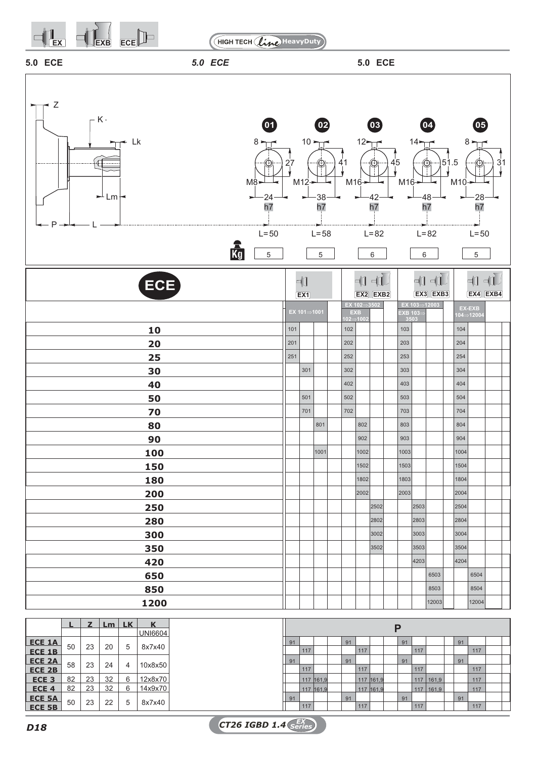

**HIGH TECH (line HeavyDuty)** 

**5.0 ECE** *5.0 ECE* **5.0 ECE**





**ECE 5A** 50 23 22 5 8x7x40 91 91 91 91 91 91 91 91 91 91 91 91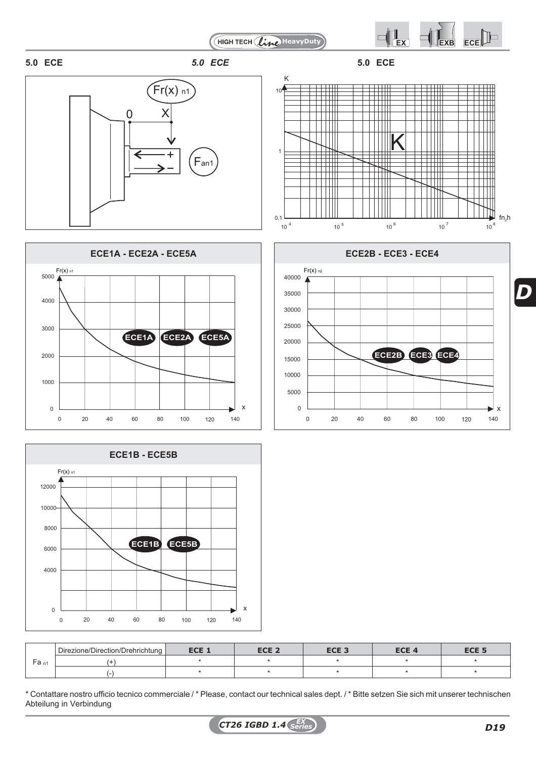



# **5.0 ECE** *5.0 ECE* **5.0 ECE**







|                  | Direzione/Direction/Drehrichtung | ECE <sub>1</sub> | ECE <sub>2</sub> | ECE <sub>3</sub> | ECE <i>a</i> | ECE <sub>5</sub> |
|------------------|----------------------------------|------------------|------------------|------------------|--------------|------------------|
| -a <sub>n1</sub> |                                  |                  |                  |                  |              |                  |
|                  |                                  |                  |                  |                  |              |                  |

\* Contattare nostro ufficio tecnico commerciale / \* Please, contact our technical sales dept. / \* Bitte setzen Sie sich mit unserer technischen Abteilung in Verbindung



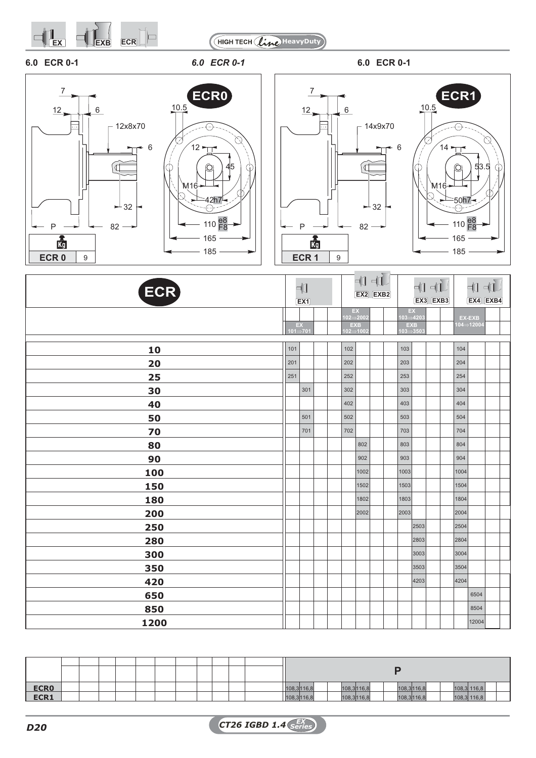













| ECR) | 中<br>EX1   |     |  |                                 | $\exists 0$<br>EX2 EXB2 |  |                            | $\begin{picture}(20,5) \put(0,0){\line(1,0){10}} \put(15,0){\line(1,0){10}} \put(15,0){\line(1,0){10}} \put(15,0){\line(1,0){10}} \put(15,0){\line(1,0){10}} \put(15,0){\line(1,0){10}} \put(15,0){\line(1,0){10}} \put(15,0){\line(1,0){10}} \put(15,0){\line(1,0){10}} \put(15,0){\line(1,0){10}} \put(15,0){\line(1,0){10}} \put(15,0){\line(1,$<br>EX3 EXB3 |  | $+1 + 1$<br>EX4 EXB4 |                     |  |
|------|------------|-----|--|---------------------------------|-------------------------|--|----------------------------|-----------------------------------------------------------------------------------------------------------------------------------------------------------------------------------------------------------------------------------------------------------------------------------------------------------------------------------------------------------------|--|----------------------|---------------------|--|
|      |            | EX  |  | EX<br>$102 = 200$<br><b>EXB</b> |                         |  | EX.<br>$103 = 4203$<br>EXB |                                                                                                                                                                                                                                                                                                                                                                 |  |                      | EX-EXB<br>104⇒12004 |  |
|      | $101 = 70$ |     |  | $102 \Rightarrow 1002$          |                         |  | $103 = 3503$               |                                                                                                                                                                                                                                                                                                                                                                 |  |                      |                     |  |
| 10   | 101        |     |  | 102                             |                         |  | 103                        |                                                                                                                                                                                                                                                                                                                                                                 |  | 104                  |                     |  |
| 20   | 201        |     |  | 202                             |                         |  | 203                        |                                                                                                                                                                                                                                                                                                                                                                 |  | 204                  |                     |  |
| 25   | 251        |     |  | 252                             |                         |  | 253                        |                                                                                                                                                                                                                                                                                                                                                                 |  | 254                  |                     |  |
| 30   |            | 301 |  | 302                             |                         |  | 303                        |                                                                                                                                                                                                                                                                                                                                                                 |  | 304                  |                     |  |
| 40   |            |     |  | 402                             |                         |  | 403                        |                                                                                                                                                                                                                                                                                                                                                                 |  | 404                  |                     |  |
| 50   |            | 501 |  | 502                             |                         |  | 503                        |                                                                                                                                                                                                                                                                                                                                                                 |  | 504                  |                     |  |
| 70   |            | 701 |  | 702                             |                         |  | 703                        |                                                                                                                                                                                                                                                                                                                                                                 |  | 704                  |                     |  |
| 80   |            |     |  |                                 | 802                     |  | 803                        |                                                                                                                                                                                                                                                                                                                                                                 |  | 804                  |                     |  |
| 90   |            |     |  |                                 | 902                     |  | 903                        |                                                                                                                                                                                                                                                                                                                                                                 |  | 904                  |                     |  |
| 100  |            |     |  |                                 | 1002                    |  | 1003                       |                                                                                                                                                                                                                                                                                                                                                                 |  | 1004                 |                     |  |
| 150  |            |     |  |                                 | 1502                    |  | 1503                       |                                                                                                                                                                                                                                                                                                                                                                 |  | 1504                 |                     |  |
| 180  |            |     |  |                                 | 1802                    |  | 1803                       |                                                                                                                                                                                                                                                                                                                                                                 |  | 1804                 |                     |  |
| 200  |            |     |  |                                 | 2002                    |  | 2003                       |                                                                                                                                                                                                                                                                                                                                                                 |  | 2004                 |                     |  |
| 250  |            |     |  |                                 |                         |  |                            | 2503                                                                                                                                                                                                                                                                                                                                                            |  | 2504                 |                     |  |
| 280  |            |     |  |                                 |                         |  |                            | 2803                                                                                                                                                                                                                                                                                                                                                            |  | 2804                 |                     |  |
| 300  |            |     |  |                                 |                         |  |                            | 3003                                                                                                                                                                                                                                                                                                                                                            |  | 3004                 |                     |  |
| 350  |            |     |  |                                 |                         |  |                            | 3503                                                                                                                                                                                                                                                                                                                                                            |  | 3504                 |                     |  |
| 420  |            |     |  |                                 |                         |  |                            | 4203                                                                                                                                                                                                                                                                                                                                                            |  | 4204                 |                     |  |
| 650  |            |     |  |                                 |                         |  |                            |                                                                                                                                                                                                                                                                                                                                                                 |  |                      | 6504                |  |
| 850  |            |     |  |                                 |                         |  |                            |                                                                                                                                                                                                                                                                                                                                                                 |  |                      | 8504                |  |
| 1200 |            |     |  |                                 |                         |  |                            |                                                                                                                                                                                                                                                                                                                                                                 |  |                      | 12004               |  |

| <b>ECRO</b> |  |  |  |  |  | 108,3116,8 |  | 108,3116,8 | 108,3116,8 |  | 108,3 116,8 |  |
|-------------|--|--|--|--|--|------------|--|------------|------------|--|-------------|--|
| ECR1        |  |  |  |  |  | 108,3116,8 |  | 108,3116,8 | 108,3116,8 |  | 108,3 116,8 |  |
|             |  |  |  |  |  |            |  |            |            |  |             |  |

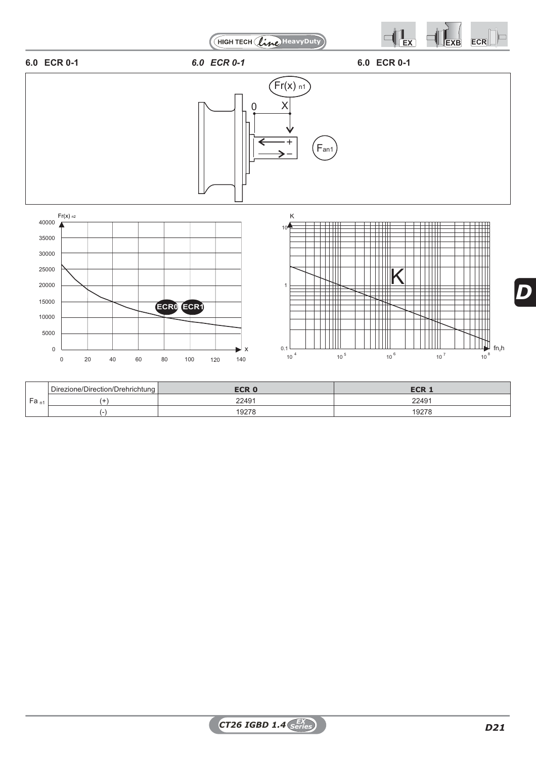

|                                                | □ Direzione/Direction/Drehrichtung ▶ | <b>ECR</b> | ECD.<br>ELM |
|------------------------------------------------|--------------------------------------|------------|-------------|
| $\overline{\phantom{0}}$<br>' Fa <sub>n1</sub> |                                      | 22491      | 22491       |
|                                                |                                      | 19278      | 19278<br>92 |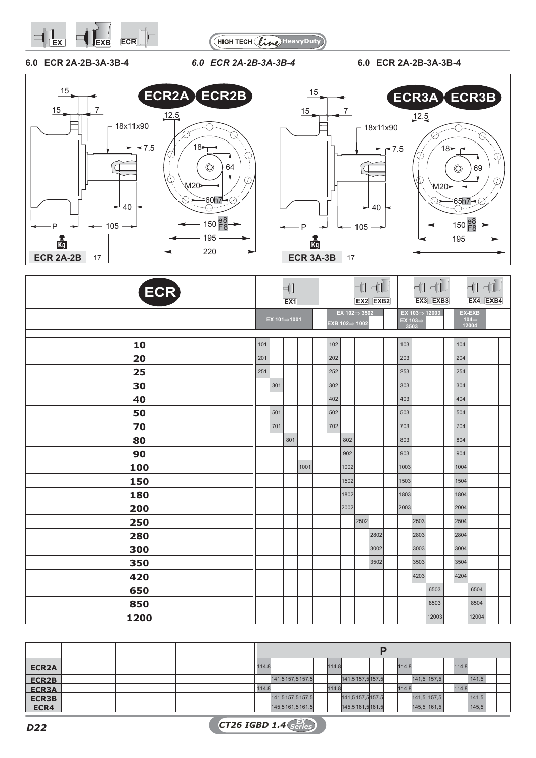



# **6.0 ECR 2A-2B-3A-3B-4** *6.0 ECR 2A-2B-3A-3B-4* **6.0 ECR 2A-2B-3A-3B-4**





| ECR) |     |             | $\neg$<br>EX1 |      |     |                                                           |      | $\begin{picture}(20,20) \put(0,0){\dashbox{0.5}(5,0){ }} \thicklines \put(15,0){\dashbox{0.5}(5,0){ }} \thicklines \put(15,0){\dashbox{0.5}(5,0){ }} \thicklines \put(15,0){\dashbox{0.5}(5,0){ }} \thicklines \put(15,0){\dashbox{0.5}(5,0){ }} \thicklines \put(15,0){\dashbox{0.5}(5,0){ }} \thicklines \put(15,0){\dashbox{0.5}(5,0){ }} \thicklines \put(15,0){\dashbox{0.5}(5,0){ }} \thicklines \put(15,0){\dash$<br>EX2 EXB2 |                 |      | $\begin{picture}(20,5) \put(0,0){\line(1,0){10}} \put(15,0){\line(1,0){10}} \put(15,0){\line(1,0){10}} \put(15,0){\line(1,0){10}} \put(15,0){\line(1,0){10}} \put(15,0){\line(1,0){10}} \put(15,0){\line(1,0){10}} \put(15,0){\line(1,0){10}} \put(15,0){\line(1,0){10}} \put(15,0){\line(1,0){10}} \put(15,0){\line(1,0){10}} \put(15,0){\line(1,$<br>EX3 EXB3 |      | $+1 + 1$<br>EX4 EXB4                 |  |
|------|-----|-------------|---------------|------|-----|-----------------------------------------------------------|------|--------------------------------------------------------------------------------------------------------------------------------------------------------------------------------------------------------------------------------------------------------------------------------------------------------------------------------------------------------------------------------------------------------------------------------------|-----------------|------|-----------------------------------------------------------------------------------------------------------------------------------------------------------------------------------------------------------------------------------------------------------------------------------------------------------------------------------------------------------------|------|--------------------------------------|--|
|      |     | EX 101⇒1001 |               |      |     | EX 102 $\Rightarrow$ 3502<br>$EXB$ 102 $\Rightarrow$ 1002 |      |                                                                                                                                                                                                                                                                                                                                                                                                                                      | EX 103⇒<br>3503 |      | EX 103 $\Rightarrow$ 12003                                                                                                                                                                                                                                                                                                                                      |      | EX-EXB<br>104 $\Rightarrow$<br>12004 |  |
| 10   | 101 |             |               |      | 102 |                                                           |      |                                                                                                                                                                                                                                                                                                                                                                                                                                      | 103             |      |                                                                                                                                                                                                                                                                                                                                                                 | 104  |                                      |  |
| 20   | 201 |             |               |      | 202 |                                                           |      |                                                                                                                                                                                                                                                                                                                                                                                                                                      | 203             |      |                                                                                                                                                                                                                                                                                                                                                                 | 204  |                                      |  |
| 25   | 251 |             |               |      | 252 |                                                           |      |                                                                                                                                                                                                                                                                                                                                                                                                                                      | 253             |      |                                                                                                                                                                                                                                                                                                                                                                 | 254  |                                      |  |
| 30   |     | 301         |               |      | 302 |                                                           |      |                                                                                                                                                                                                                                                                                                                                                                                                                                      | 303             |      |                                                                                                                                                                                                                                                                                                                                                                 | 304  |                                      |  |
| 40   |     |             |               |      | 402 |                                                           |      |                                                                                                                                                                                                                                                                                                                                                                                                                                      | 403             |      |                                                                                                                                                                                                                                                                                                                                                                 | 404  |                                      |  |
| 50   |     | 501         |               |      | 502 |                                                           |      |                                                                                                                                                                                                                                                                                                                                                                                                                                      | 503             |      |                                                                                                                                                                                                                                                                                                                                                                 | 504  |                                      |  |
| 70   |     | 701         |               |      | 702 |                                                           |      |                                                                                                                                                                                                                                                                                                                                                                                                                                      | 703             |      |                                                                                                                                                                                                                                                                                                                                                                 | 704  |                                      |  |
| 80   |     |             | 801           |      |     | 802                                                       |      |                                                                                                                                                                                                                                                                                                                                                                                                                                      | 803             |      |                                                                                                                                                                                                                                                                                                                                                                 | 804  |                                      |  |
| 90   |     |             |               |      |     | 902                                                       |      |                                                                                                                                                                                                                                                                                                                                                                                                                                      | 903             |      |                                                                                                                                                                                                                                                                                                                                                                 | 904  |                                      |  |
| 100  |     |             |               | 1001 |     | 1002                                                      |      |                                                                                                                                                                                                                                                                                                                                                                                                                                      | 1003            |      |                                                                                                                                                                                                                                                                                                                                                                 | 1004 |                                      |  |
| 150  |     |             |               |      |     | 1502                                                      |      |                                                                                                                                                                                                                                                                                                                                                                                                                                      | 1503            |      |                                                                                                                                                                                                                                                                                                                                                                 | 1504 |                                      |  |
| 180  |     |             |               |      |     | 1802                                                      |      |                                                                                                                                                                                                                                                                                                                                                                                                                                      | 1803            |      |                                                                                                                                                                                                                                                                                                                                                                 | 1804 |                                      |  |
| 200  |     |             |               |      |     | 2002                                                      |      |                                                                                                                                                                                                                                                                                                                                                                                                                                      | 2003            |      |                                                                                                                                                                                                                                                                                                                                                                 | 2004 |                                      |  |
| 250  |     |             |               |      |     |                                                           | 2502 |                                                                                                                                                                                                                                                                                                                                                                                                                                      |                 | 2503 |                                                                                                                                                                                                                                                                                                                                                                 | 2504 |                                      |  |
| 280  |     |             |               |      |     |                                                           |      | 2802                                                                                                                                                                                                                                                                                                                                                                                                                                 |                 | 2803 |                                                                                                                                                                                                                                                                                                                                                                 | 2804 |                                      |  |
| 300  |     |             |               |      |     |                                                           |      | 3002                                                                                                                                                                                                                                                                                                                                                                                                                                 |                 | 3003 |                                                                                                                                                                                                                                                                                                                                                                 | 3004 |                                      |  |
| 350  |     |             |               |      |     |                                                           |      | 3502                                                                                                                                                                                                                                                                                                                                                                                                                                 |                 | 3503 |                                                                                                                                                                                                                                                                                                                                                                 | 3504 |                                      |  |
| 420  |     |             |               |      |     |                                                           |      |                                                                                                                                                                                                                                                                                                                                                                                                                                      |                 | 4203 |                                                                                                                                                                                                                                                                                                                                                                 | 4204 |                                      |  |
| 650  |     |             |               |      |     |                                                           |      |                                                                                                                                                                                                                                                                                                                                                                                                                                      |                 |      | 6503                                                                                                                                                                                                                                                                                                                                                            |      | 6504                                 |  |
| 850  |     |             |               |      |     |                                                           |      |                                                                                                                                                                                                                                                                                                                                                                                                                                      |                 |      | 8503                                                                                                                                                                                                                                                                                                                                                            |      | 8504                                 |  |
| 1200 |     |             |               |      |     |                                                           |      |                                                                                                                                                                                                                                                                                                                                                                                                                                      |                 |      | 12003                                                                                                                                                                                                                                                                                                                                                           |      | 12004                                |  |

| <b>ECR2A</b> |  |  |  |  |  | 114.8 |  |                 | 114.8 |                 |  | 114.8 |             | 114.8 |       |  |
|--------------|--|--|--|--|--|-------|--|-----------------|-------|-----------------|--|-------|-------------|-------|-------|--|
| ECR2B        |  |  |  |  |  |       |  | 141,5157,5157.5 |       | 141,5157,5157.5 |  |       | 141,5 157,5 |       | 141.5 |  |
| <b>ECR3A</b> |  |  |  |  |  | 114.8 |  |                 | 114.8 |                 |  | 114.8 |             | 114.8 |       |  |
| <b>ECR3B</b> |  |  |  |  |  |       |  | 141,5157,5157.5 |       | 141,5157,5157.5 |  |       | 141,5 157,5 |       | 141.5 |  |
| ECR4         |  |  |  |  |  |       |  | 145,5161,5161.5 |       | 145,5161,5161.5 |  |       | 145,5 161,5 |       | 145,5 |  |
|              |  |  |  |  |  |       |  |                 |       |                 |  |       |             |       |       |  |

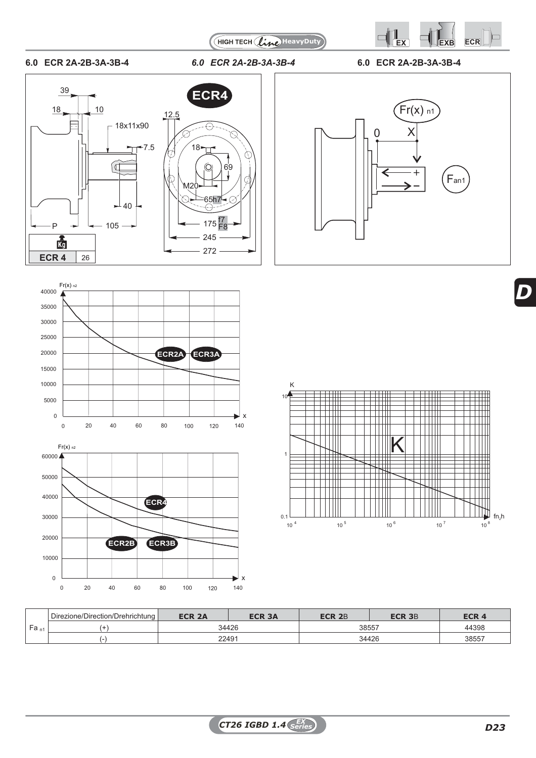

(HIGH TECH (line) HeavyDuty

 $\hat{C}$ 

# **6.0 ECR 2A-2B-3A-3B-4** *6.0 ECR 2A-2B-3A-3B-4* **6.0 ECR 2A-2B-3A-3B-4**









K  $10<sup>4</sup>$ HI  $\frac{1}{1}$ ₩ K 1 ┯┷ ┯ LΠ  $\Box$   $\Box$ Ш IT Ш  $\begin{array}{c} 0.1 \\ 10^{4} \end{array}$  $fn_2h$ 4  $40^5$   $40^6$   $40^7$   $40^8$  $10^{4}$  10  $10^{9}$  10  $10^{9}$  10  $10^{10}$  10  $10^{10}$ 

|                  | Direzione/Direction/Drehrichtung | <b>ECR 2A</b> | ECR 3A | <b>ECR 2</b> B | ECR 3B | ECR 4 |
|------------------|----------------------------------|---------------|--------|----------------|--------|-------|
| lea <sub>n</sub> |                                  |               | 34426  | 38557          |        | 44398 |
|                  |                                  | 22491         |        |                | 34426  | 38557 |

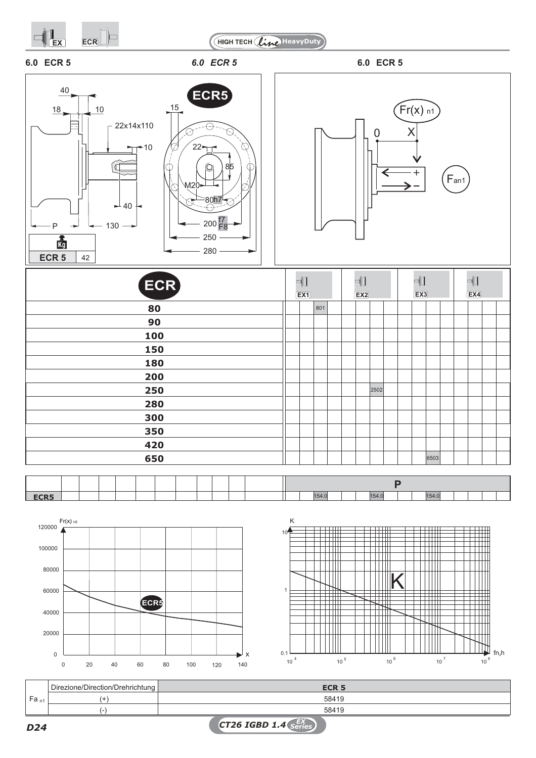

*CT26 IGBD 1.4 EX D24 Series*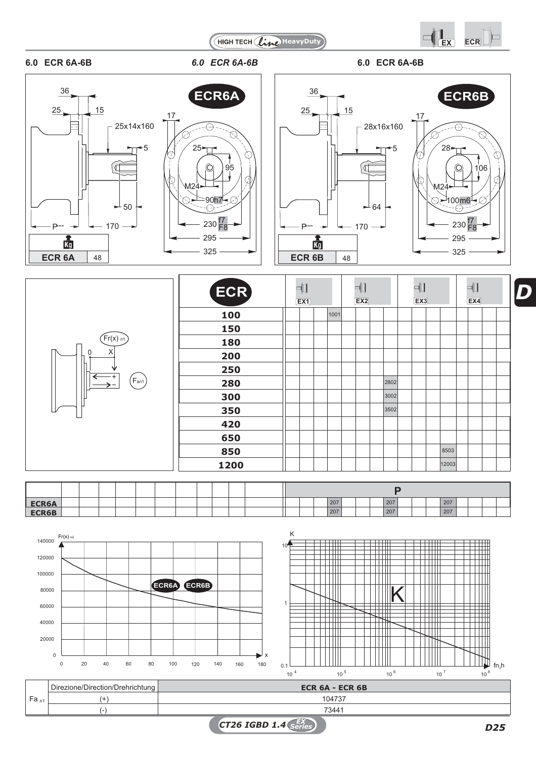



106

 $\overline{\mathbb{C}}$ 

T

# **6.0 ECR 6A-6B** *6.0 ECR 6A-6B* **6.0 ECR 6A-6B**













*Series D25*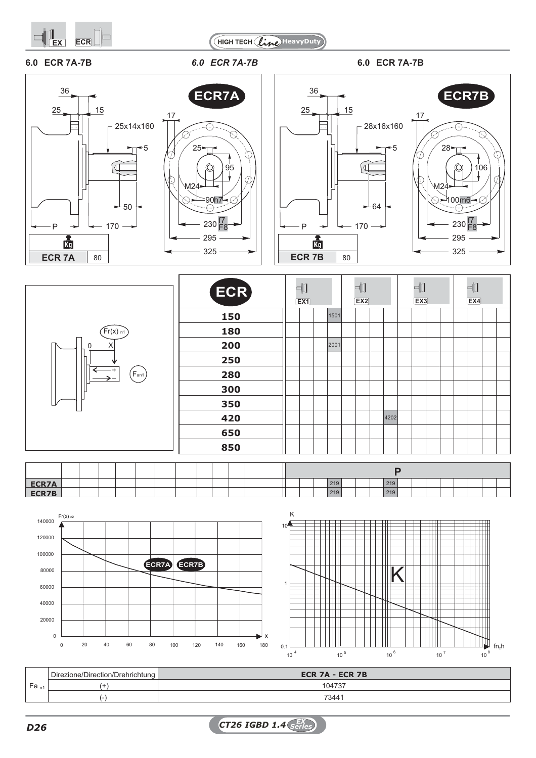



# **6.0 ECR 7A-7B** *6.0 ECR 7A-7B* **6.0 ECR 7A-7B**

P

 $\overline{P}$ 







|                                        | ECR) | ╣<br>EX1 |      | $\neg$<br>EX2 |      | ╣ | $\boxed{\text{EX3}}$ | ⊣∐<br>EX4 |  |
|----------------------------------------|------|----------|------|---------------|------|---|----------------------|-----------|--|
|                                        | 150  |          | 1501 |               |      |   |                      |           |  |
| $\left(\mathsf{Fr}(x) \right)$ n1      | 180  |          |      |               |      |   |                      |           |  |
| $\mathbf 0$<br>X                       | 200  |          | 2001 |               |      |   |                      |           |  |
|                                        | 250  |          |      |               |      |   |                      |           |  |
| $\left(\mathsf{F}_\mathsf{an1}\right)$ | 280  |          |      |               |      |   |                      |           |  |
|                                        | 300  |          |      |               |      |   |                      |           |  |
|                                        | 350  |          |      |               |      |   |                      |           |  |
|                                        | 420  |          |      |               | 4202 |   |                      |           |  |
|                                        | 650  |          |      |               |      |   |                      |           |  |
|                                        | 850  |          |      |               |      |   |                      |           |  |
|                                        |      |          |      |               |      |   |                      |           |  |

| <b>ECR7A</b> |  |  |  |  |  |  |  | 219 |  | 219 |  |  |  |  |
|--------------|--|--|--|--|--|--|--|-----|--|-----|--|--|--|--|
| ECR7B        |  |  |  |  |  |  |  | 219 |  | 219 |  |  |  |  |
|              |  |  |  |  |  |  |  |     |  |     |  |  |  |  |





|           | Direzione/Direction/Drehrichtung | ECR $7A - ECR$ $7B$ |
|-----------|----------------------------------|---------------------|
| $Fa_{n1}$ |                                  | 1041                |
|           |                                  | 7344                |

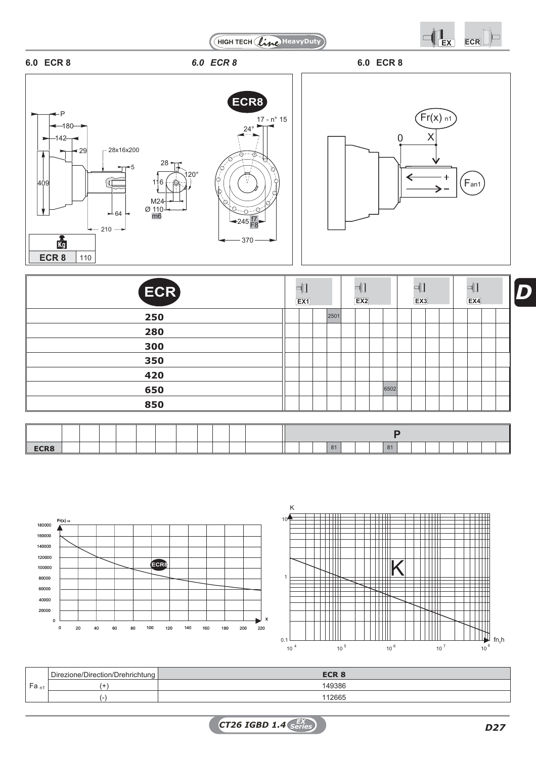







| ECR) | ⊣‡]<br>EX1 |      | $\overline{a}$<br>EX2 |      | ⊣∐<br>Ex3 |  | $\mathbb{R}$<br>Ex4 |  |
|------|------------|------|-----------------------|------|-----------|--|---------------------|--|
| 250  |            | 2501 |                       |      |           |  |                     |  |
| 280  |            |      |                       |      |           |  |                     |  |
| 300  |            |      |                       |      |           |  |                     |  |
| 350  |            |      |                       |      |           |  |                     |  |
| 420  |            |      |                       |      |           |  |                     |  |
| 650  |            |      |                       | 6502 |           |  |                     |  |
| 850  |            |      |                       |      |           |  |                     |  |

| O <sub>A</sub><br>81<br>$-111$ |  |  |  |
|--------------------------------|--|--|--|





|                | Direzione/Direction/Drehrichtung | <b>ECR 8</b> |
|----------------|----------------------------------|--------------|
| -<br>$ra_{n1}$ |                                  | 149386       |
|                |                                  | 112665       |

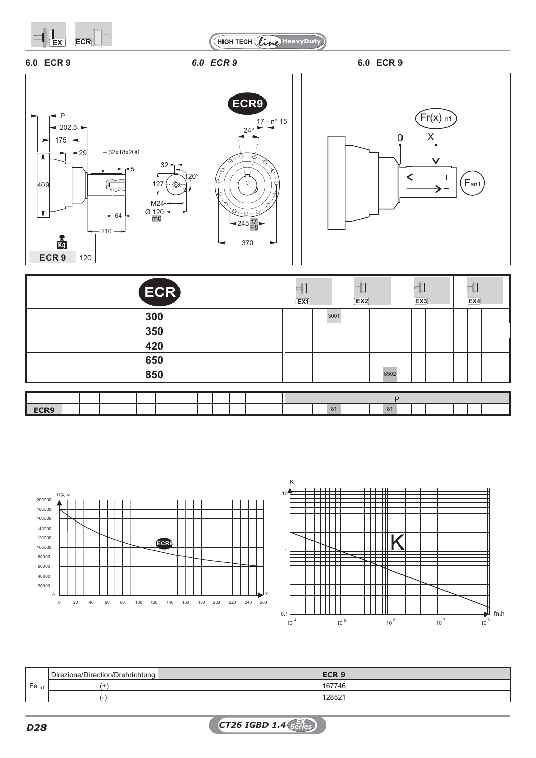







| ECR) | $\overline{\mathcal{A}}$<br>$\boxed{EX1}$ |      | ᆷ<br>EX2 |      | $\Box$<br>Ex3 | ▭<br>"<br>EX4 |
|------|-------------------------------------------|------|----------|------|---------------|---------------|
| 300  |                                           | 3001 |          |      |               |               |
| 350  |                                           |      |          |      |               |               |
| 420  |                                           |      |          |      |               |               |
| 650  |                                           |      |          |      |               |               |
| 850  |                                           |      |          | 8502 |               |               |
|      |                                           |      |          |      |               |               |
|      |                                           |      |          | P    |               |               |
| ECR9 |                                           | 81   |          | 81   |               |               |





|                    | □ Direzione/Direction/Drehrichtung | ECR <sub>9</sub>   |
|--------------------|------------------------------------|--------------------|
| ` Fa <sub>n1</sub> |                                    | 167746             |
|                    |                                    | 12852 <sup>-</sup> |

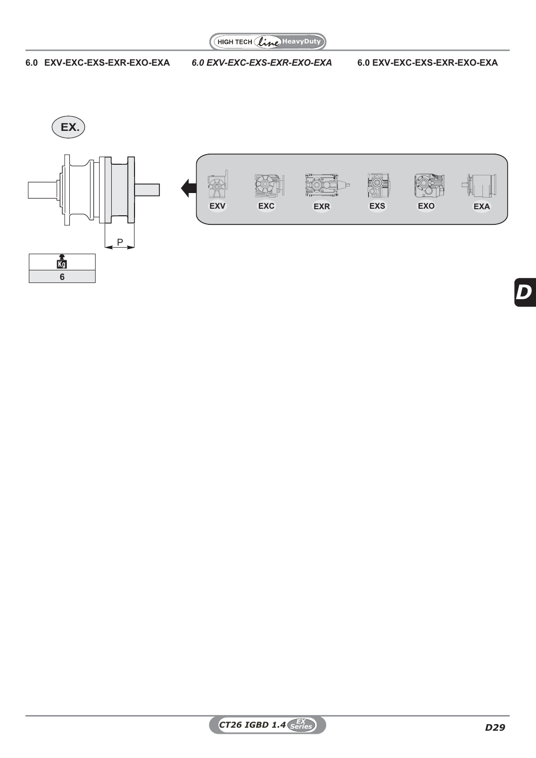

# **6.0 EXV-EXC-EXS-EXR-EXO-EXA** *6.0 EXV-EXC-EXS-EXR-EXO-EXA* **6.0 EXV-EXC-EXS-EXR-EXO-EXA**